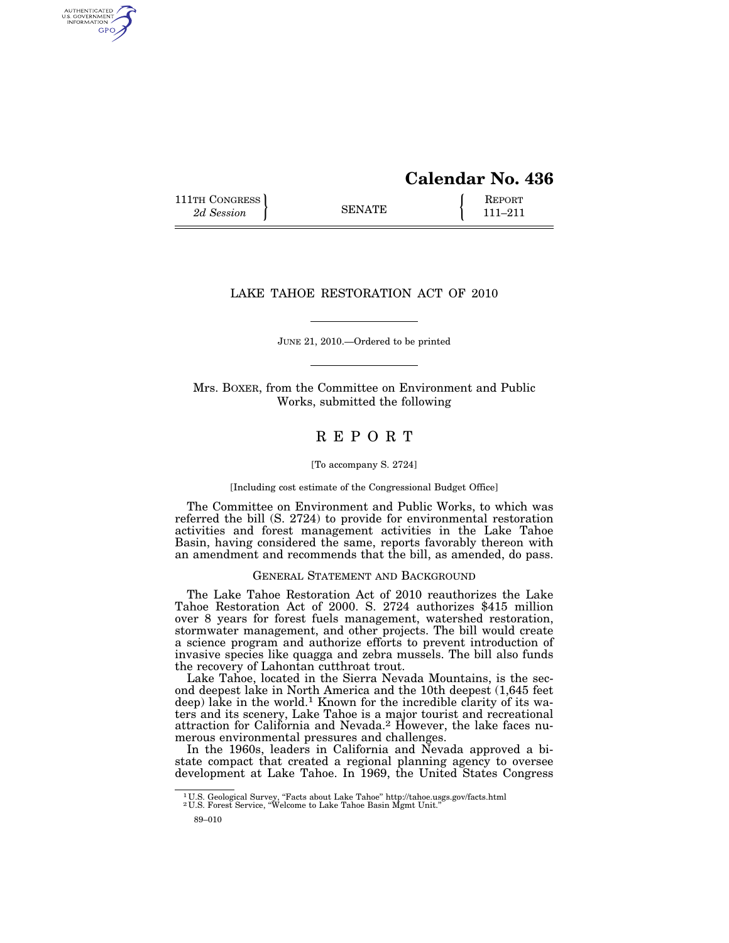# **Calendar No. 436**

111TH CONGRESS **REPORT** 2d Session **111 EXECUTE 111**-211

AUTHENTICATED<br>U.S. GOVERNMENT<br>INFORMATION GPO

## LAKE TAHOE RESTORATION ACT OF 2010

JUNE 21, 2010.—Ordered to be printed

Mrs. BOXER, from the Committee on Environment and Public Works, submitted the following

## R E P O R T

[To accompany S. 2724]

[Including cost estimate of the Congressional Budget Office]

The Committee on Environment and Public Works, to which was referred the bill (S. 2724) to provide for environmental restoration activities and forest management activities in the Lake Tahoe Basin, having considered the same, reports favorably thereon with an amendment and recommends that the bill, as amended, do pass.

## GENERAL STATEMENT AND BACKGROUND

The Lake Tahoe Restoration Act of 2010 reauthorizes the Lake Tahoe Restoration Act of 2000. S. 2724 authorizes \$415 million over 8 years for forest fuels management, watershed restoration, stormwater management, and other projects. The bill would create a science program and authorize efforts to prevent introduction of invasive species like quagga and zebra mussels. The bill also funds the recovery of Lahontan cutthroat trout.

Lake Tahoe, located in the Sierra Nevada Mountains, is the second deepest lake in North America and the 10th deepest (1,645 feet deep) lake in the world.<sup>1</sup> Known for the incredible clarity of its waters and its scenery, Lake Tahoe is a major tourist and recreational attraction for California and Nevada.2 However, the lake faces numerous environmental pressures and challenges.

In the 1960s, leaders in California and Nevada approved a bistate compact that created a regional planning agency to oversee development at Lake Tahoe. In 1969, the United States Congress

<sup>1</sup> U.S. Geological Survey, ''Facts about Lake Tahoe'' http://tahoe.usgs.gov/facts.html 2 U.S. Forest Service, ''Welcome to Lake Tahoe Basin Mgmt Unit.''

<sup>89–010</sup>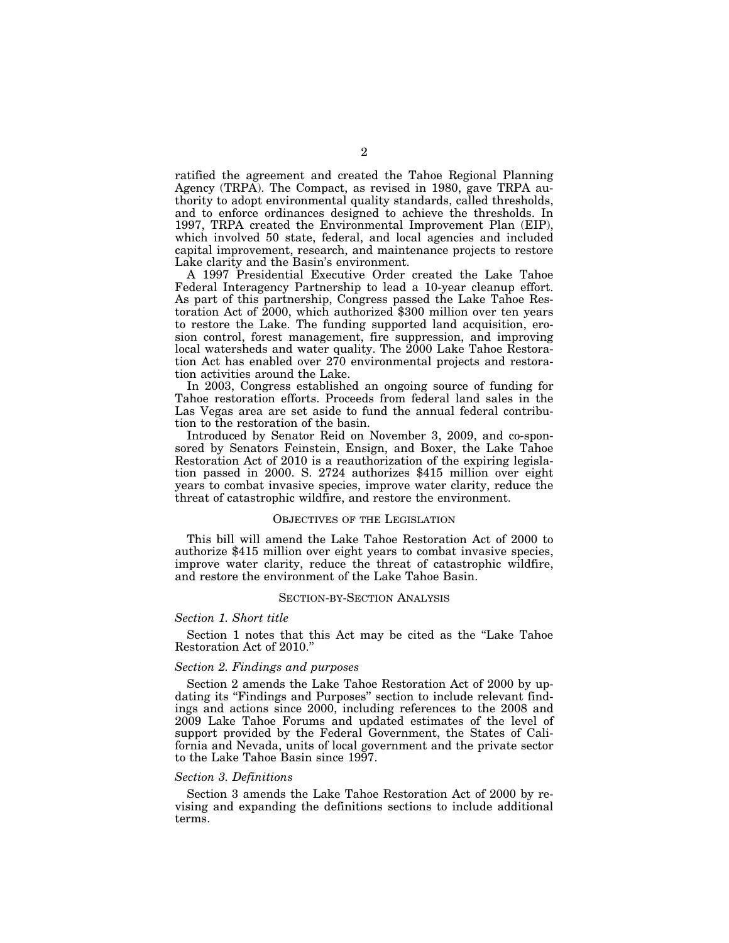ratified the agreement and created the Tahoe Regional Planning Agency (TRPA). The Compact, as revised in 1980, gave TRPA authority to adopt environmental quality standards, called thresholds, and to enforce ordinances designed to achieve the thresholds. In 1997, TRPA created the Environmental Improvement Plan (EIP), which involved 50 state, federal, and local agencies and included capital improvement, research, and maintenance projects to restore Lake clarity and the Basin's environment.

A 1997 Presidential Executive Order created the Lake Tahoe Federal Interagency Partnership to lead a 10-year cleanup effort. As part of this partnership, Congress passed the Lake Tahoe Restoration Act of 2000, which authorized \$300 million over ten years to restore the Lake. The funding supported land acquisition, erosion control, forest management, fire suppression, and improving local watersheds and water quality. The 2000 Lake Tahoe Restoration Act has enabled over 270 environmental projects and restoration activities around the Lake.

In 2003, Congress established an ongoing source of funding for Tahoe restoration efforts. Proceeds from federal land sales in the Las Vegas area are set aside to fund the annual federal contribution to the restoration of the basin.

Introduced by Senator Reid on November 3, 2009, and co-sponsored by Senators Feinstein, Ensign, and Boxer, the Lake Tahoe Restoration Act of 2010 is a reauthorization of the expiring legislation passed in 2000. S. 2724 authorizes \$415 million over eight years to combat invasive species, improve water clarity, reduce the threat of catastrophic wildfire, and restore the environment.

#### OBJECTIVES OF THE LEGISLATION

This bill will amend the Lake Tahoe Restoration Act of 2000 to authorize \$415 million over eight years to combat invasive species, improve water clarity, reduce the threat of catastrophic wildfire, and restore the environment of the Lake Tahoe Basin.

#### SECTION-BY-SECTION ANALYSIS

## *Section 1. Short title*

Section 1 notes that this Act may be cited as the "Lake Tahoe Restoration Act of 2010.''

#### *Section 2. Findings and purposes*

Section 2 amends the Lake Tahoe Restoration Act of 2000 by updating its "Findings and Purposes" section to include relevant findings and actions since 2000, including references to the 2008 and 2009 Lake Tahoe Forums and updated estimates of the level of support provided by the Federal Government, the States of California and Nevada, units of local government and the private sector to the Lake Tahoe Basin since 1997.

#### *Section 3. Definitions*

Section 3 amends the Lake Tahoe Restoration Act of 2000 by revising and expanding the definitions sections to include additional terms.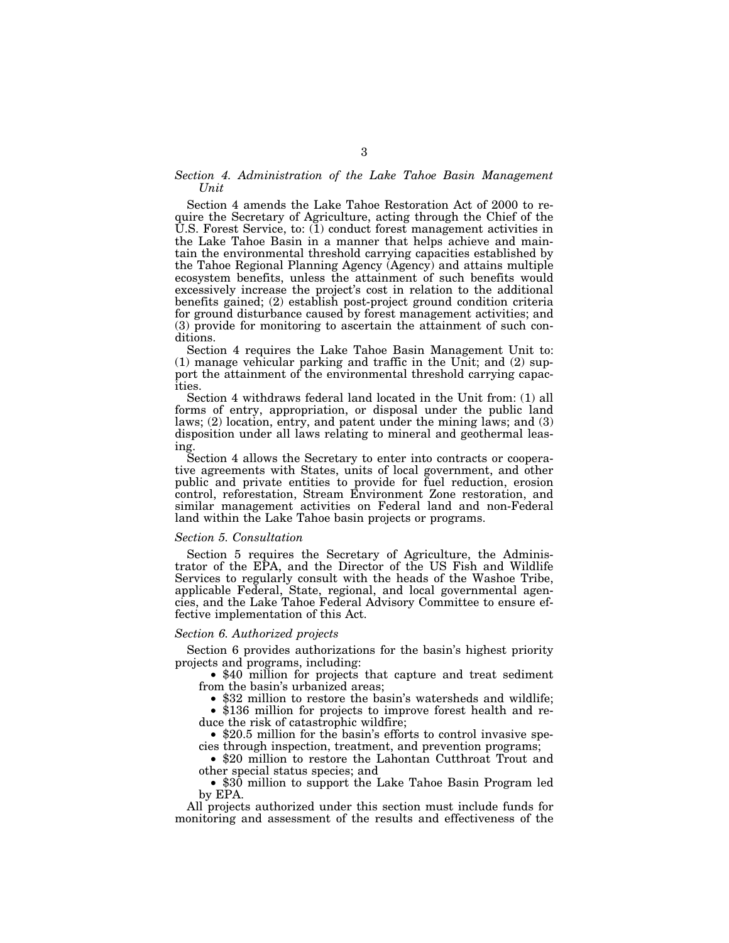## *Section 4. Administration of the Lake Tahoe Basin Management Unit*

Section 4 amends the Lake Tahoe Restoration Act of 2000 to require the Secretary of Agriculture, acting through the Chief of the U.S. Forest Service, to: (1) conduct forest management activities in the Lake Tahoe Basin in a manner that helps achieve and maintain the environmental threshold carrying capacities established by the Tahoe Regional Planning Agency (Agency) and attains multiple ecosystem benefits, unless the attainment of such benefits would excessively increase the project's cost in relation to the additional benefits gained; (2) establish post-project ground condition criteria for ground disturbance caused by forest management activities; and (3) provide for monitoring to ascertain the attainment of such conditions.

Section 4 requires the Lake Tahoe Basin Management Unit to: (1) manage vehicular parking and traffic in the Unit; and (2) support the attainment of the environmental threshold carrying capacities.

Section 4 withdraws federal land located in the Unit from: (1) all forms of entry, appropriation, or disposal under the public land laws; (2) location, entry, and patent under the mining laws; and (3) disposition under all laws relating to mineral and geothermal leasing.

Section 4 allows the Secretary to enter into contracts or cooperative agreements with States, units of local government, and other public and private entities to provide for fuel reduction, erosion control, reforestation, Stream Environment Zone restoration, and similar management activities on Federal land and non-Federal land within the Lake Tahoe basin projects or programs.

#### *Section 5. Consultation*

Section 5 requires the Secretary of Agriculture, the Administrator of the EPA, and the Director of the US Fish and Wildlife Services to regularly consult with the heads of the Washoe Tribe, applicable Federal, State, regional, and local governmental agencies, and the Lake Tahoe Federal Advisory Committee to ensure effective implementation of this Act.

#### *Section 6. Authorized projects*

Section 6 provides authorizations for the basin's highest priority projects and programs, including:

• \$40 million for projects that capture and treat sediment from the basin's urbanized areas;

• \$32 million to restore the basin's watersheds and wildlife; • \$136 million for projects to improve forest health and re-

duce the risk of catastrophic wildfire;

• \$20.5 million for the basin's efforts to control invasive species through inspection, treatment, and prevention programs;

• \$20 million to restore the Lahontan Cutthroat Trout and other special status species; and

• \$30 million to support the Lake Tahoe Basin Program led by EPA.

All projects authorized under this section must include funds for monitoring and assessment of the results and effectiveness of the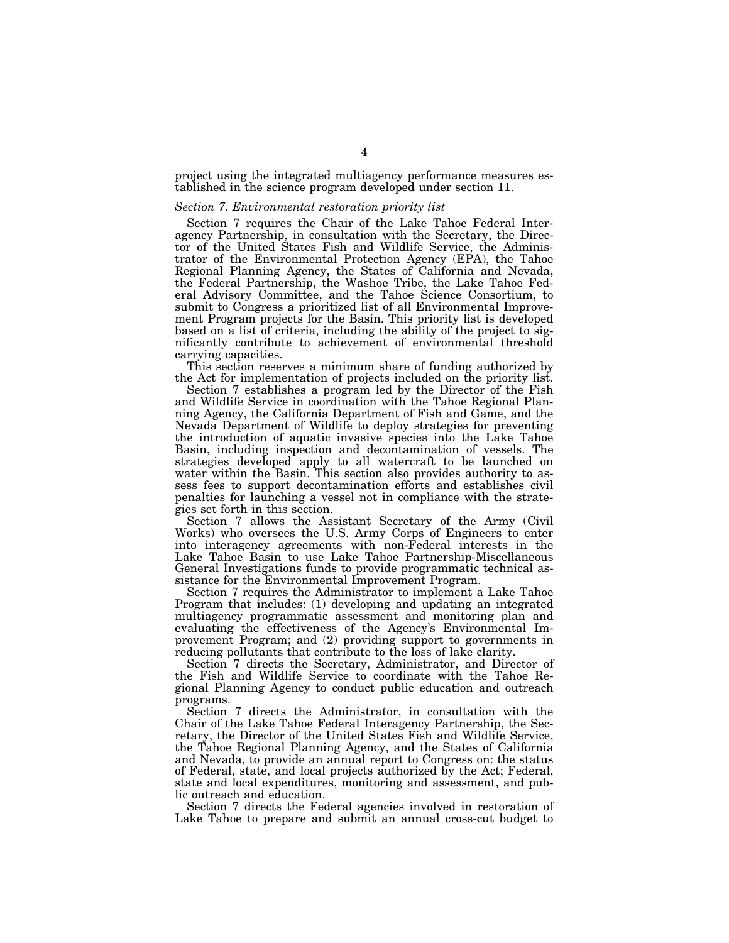project using the integrated multiagency performance measures established in the science program developed under section 11.

#### *Section 7. Environmental restoration priority list*

Section 7 requires the Chair of the Lake Tahoe Federal Interagency Partnership, in consultation with the Secretary, the Director of the United States Fish and Wildlife Service, the Administrator of the Environmental Protection Agency (EPA), the Tahoe Regional Planning Agency, the States of California and Nevada, the Federal Partnership, the Washoe Tribe, the Lake Tahoe Federal Advisory Committee, and the Tahoe Science Consortium, to submit to Congress a prioritized list of all Environmental Improvement Program projects for the Basin. This priority list is developed based on a list of criteria, including the ability of the project to significantly contribute to achievement of environmental threshold carrying capacities.

This section reserves a minimum share of funding authorized by the Act for implementation of projects included on the priority list.

Section 7 establishes a program led by the Director of the Fish and Wildlife Service in coordination with the Tahoe Regional Planning Agency, the California Department of Fish and Game, and the Nevada Department of Wildlife to deploy strategies for preventing the introduction of aquatic invasive species into the Lake Tahoe Basin, including inspection and decontamination of vessels. The strategies developed apply to all watercraft to be launched on water within the Basin. This section also provides authority to assess fees to support decontamination efforts and establishes civil penalties for launching a vessel not in compliance with the strategies set forth in this section.

Section 7 allows the Assistant Secretary of the Army (Civil Works) who oversees the U.S. Army Corps of Engineers to enter into interagency agreements with non-Federal interests in the Lake Tahoe Basin to use Lake Tahoe Partnership-Miscellaneous General Investigations funds to provide programmatic technical assistance for the Environmental Improvement Program.

Section 7 requires the Administrator to implement a Lake Tahoe Program that includes: (1) developing and updating an integrated multiagency programmatic assessment and monitoring plan and evaluating the effectiveness of the Agency's Environmental Improvement Program; and (2) providing support to governments in reducing pollutants that contribute to the loss of lake clarity.

Section 7 directs the Secretary, Administrator, and Director of the Fish and Wildlife Service to coordinate with the Tahoe Regional Planning Agency to conduct public education and outreach programs.

Section 7 directs the Administrator, in consultation with the Chair of the Lake Tahoe Federal Interagency Partnership, the Secretary, the Director of the United States Fish and Wildlife Service, the Tahoe Regional Planning Agency, and the States of California and Nevada, to provide an annual report to Congress on: the status of Federal, state, and local projects authorized by the Act; Federal, state and local expenditures, monitoring and assessment, and public outreach and education.

Section 7 directs the Federal agencies involved in restoration of Lake Tahoe to prepare and submit an annual cross-cut budget to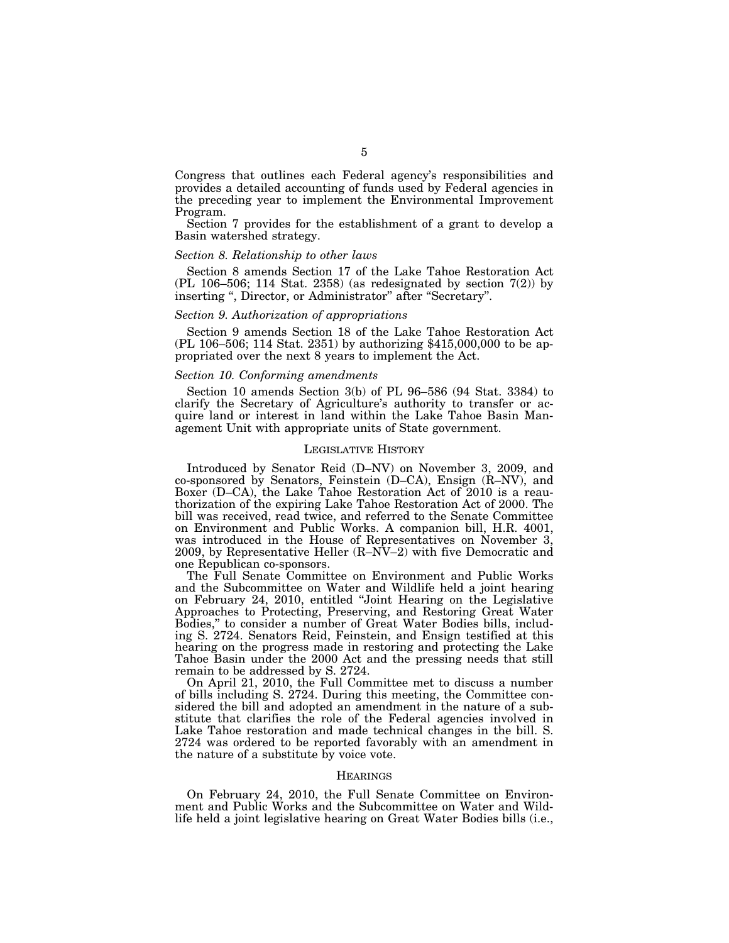Congress that outlines each Federal agency's responsibilities and provides a detailed accounting of funds used by Federal agencies in the preceding year to implement the Environmental Improvement Program.

Section 7 provides for the establishment of a grant to develop a Basin watershed strategy.

## *Section 8. Relationship to other laws*

Section 8 amends Section 17 of the Lake Tahoe Restoration Act (PL 106–506; 114 Stat. 2358) (as redesignated by section  $7(2)$ ) by inserting ", Director, or Administrator" after "Secretary".

## *Section 9. Authorization of appropriations*

Section 9 amends Section 18 of the Lake Tahoe Restoration Act (PL 106–506; 114 Stat. 2351) by authorizing \$415,000,000 to be appropriated over the next 8 years to implement the Act.

#### *Section 10. Conforming amendments*

Section 10 amends Section 3(b) of PL 96–586 (94 Stat. 3384) to clarify the Secretary of Agriculture's authority to transfer or acquire land or interest in land within the Lake Tahoe Basin Management Unit with appropriate units of State government.

#### LEGISLATIVE HISTORY

Introduced by Senator Reid (D–NV) on November 3, 2009, and co-sponsored by Senators, Feinstein (D–CA), Ensign (R–NV), and Boxer (D–CA), the Lake Tahoe Restoration Act of 2010 is a reauthorization of the expiring Lake Tahoe Restoration Act of 2000. The bill was received, read twice, and referred to the Senate Committee on Environment and Public Works. A companion bill, H.R. 4001, was introduced in the House of Representatives on November 3, 2009, by Representative Heller  $(R-NV-2)$  with five Democratic and one Republican co-sponsors.

The Full Senate Committee on Environment and Public Works and the Subcommittee on Water and Wildlife held a joint hearing on February 24, 2010, entitled ''Joint Hearing on the Legislative Approaches to Protecting, Preserving, and Restoring Great Water Bodies,'' to consider a number of Great Water Bodies bills, including S. 2724. Senators Reid, Feinstein, and Ensign testified at this hearing on the progress made in restoring and protecting the Lake Tahoe Basin under the 2000 Act and the pressing needs that still remain to be addressed by S. 2724.

On April 21, 2010, the Full Committee met to discuss a number of bills including S. 2724. During this meeting, the Committee considered the bill and adopted an amendment in the nature of a substitute that clarifies the role of the Federal agencies involved in Lake Tahoe restoration and made technical changes in the bill. S. 2724 was ordered to be reported favorably with an amendment in the nature of a substitute by voice vote.

#### **HEARINGS**

On February 24, 2010, the Full Senate Committee on Environment and Public Works and the Subcommittee on Water and Wildlife held a joint legislative hearing on Great Water Bodies bills (i.e.,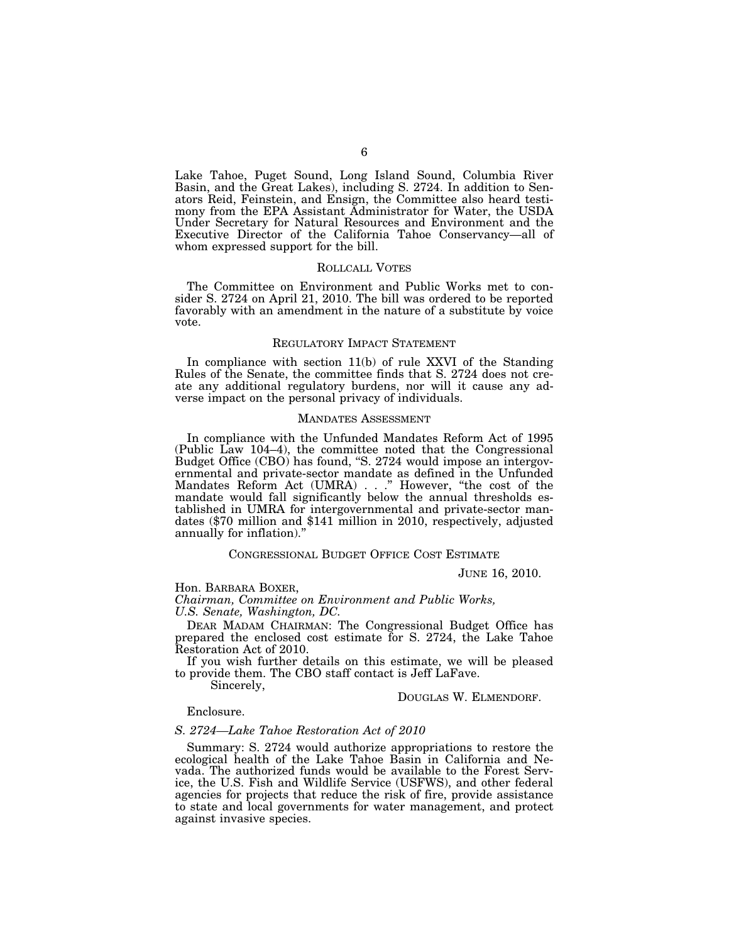Lake Tahoe, Puget Sound, Long Island Sound, Columbia River Basin, and the Great Lakes), including S. 2724. In addition to Senators Reid, Feinstein, and Ensign, the Committee also heard testimony from the EPA Assistant Administrator for Water, the USDA Under Secretary for Natural Resources and Environment and the Executive Director of the California Tahoe Conservancy—all of whom expressed support for the bill.

#### ROLLCALL VOTES

The Committee on Environment and Public Works met to consider S. 2724 on April 21, 2010. The bill was ordered to be reported favorably with an amendment in the nature of a substitute by voice vote.

#### REGULATORY IMPACT STATEMENT

In compliance with section 11(b) of rule XXVI of the Standing Rules of the Senate, the committee finds that S. 2724 does not create any additional regulatory burdens, nor will it cause any adverse impact on the personal privacy of individuals.

#### MANDATES ASSESSMENT

In compliance with the Unfunded Mandates Reform Act of 1995 (Public Law 104–4), the committee noted that the Congressional Budget Office (CBO) has found, "S. 2724 would impose an intergovernmental and private-sector mandate as defined in the Unfunded Mandates Reform Act (UMRA) . . .'' However, ''the cost of the mandate would fall significantly below the annual thresholds established in UMRA for intergovernmental and private-sector mandates (\$70 million and \$141 million in 2010, respectively, adjusted annually for inflation).''

## CONGRESSIONAL BUDGET OFFICE COST ESTIMATE

JUNE 16, 2010.

Hon. BARBARA BOXER,

*Chairman, Committee on Environment and Public Works, U.S. Senate, Washington, DC.* 

DEAR MADAM CHAIRMAN: The Congressional Budget Office has prepared the enclosed cost estimate for S. 2724, the Lake Tahoe Restoration Act of 2010.

If you wish further details on this estimate, we will be pleased to provide them. The CBO staff contact is Jeff LaFave.

Sincerely,

#### DOUGLAS W. ELMENDORF.

#### Enclosure.

#### *S. 2724—Lake Tahoe Restoration Act of 2010*

Summary: S. 2724 would authorize appropriations to restore the ecological health of the Lake Tahoe Basin in California and Nevada. The authorized funds would be available to the Forest Service, the U.S. Fish and Wildlife Service (USFWS), and other federal agencies for projects that reduce the risk of fire, provide assistance to state and local governments for water management, and protect against invasive species.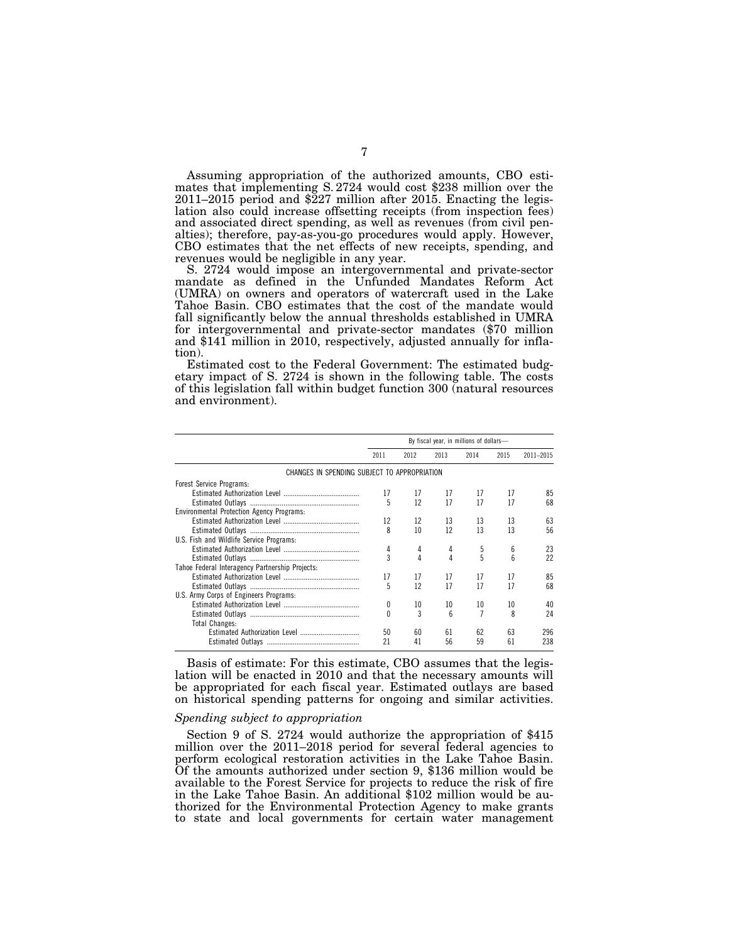Assuming appropriation of the authorized amounts, CBO esti- mates that implementing S. 2724 would cost \$238 million over the 2011–2015 period and \$227 million after 2015. Enacting the legislation also could increase offsetting receipts (from inspection fees) and associated direct spending, as well as revenues (from civil penalties); therefore, pay-as-you-go procedures would apply. However, CBO estimates that the net effects of new receipts, spending, and revenues would be negligible in any year.

S. 2724 would impose an intergovernmental and private-sector mandate as defined in the Unfunded Mandates Reform Act (UMRA) on owners and operators of watercraft used in the Lake Tahoe Basin. CBO estimates that the cost of the mandate would fall significantly below the annual thresholds established in UMRA for intergovernmental and private-sector mandates (\$70 million and \$141 million in 2010, respectively, adjusted annually for inflation).

Estimated cost to the Federal Government: The estimated budgetary impact of S. 2724 is shown in the following table. The costs of this legislation fall within budget function 300 (natural resources and environment).

|                                                  |      |      | By fiscal year, in millions of dollars- |      |                 |           |
|--------------------------------------------------|------|------|-----------------------------------------|------|-----------------|-----------|
|                                                  | 2011 | 2012 | 2013                                    | 2014 | 2015            | 2011-2015 |
| CHANGES IN SPENDING SUBJECT TO APPROPRIATION     |      |      |                                         |      |                 |           |
| Forest Service Programs:                         |      |      |                                         |      |                 |           |
|                                                  | 17   | 17   | 17                                      | 17   | 17              | 85        |
|                                                  | 5    | 12   | 17                                      | 17   | 17              | 68        |
| <b>Environmental Protection Agency Programs:</b> |      |      |                                         |      |                 |           |
|                                                  | 12   | 12   | 13                                      | 13   | 13              | 63        |
|                                                  | 8    | 10   | 12                                      | 13   | 13              | 56        |
| U.S. Fish and Wildlife Service Programs:         |      |      |                                         |      |                 |           |
|                                                  | 4    | 4    | 4                                       | 5    | 6               | 23        |
|                                                  | 3    | 4    | 4                                       | 5    | $6\overline{6}$ | 22        |
| Tahoe Federal Interagency Partnership Projects:  |      |      |                                         |      |                 |           |
|                                                  | 17   | 17   | 17                                      | 17   | 17              | 85        |
|                                                  | 5    | 12   | 17                                      | 17   | 17              | 68        |
| U.S. Army Corps of Engineers Programs:           |      |      |                                         |      |                 |           |
|                                                  | 0    | 10   | 10                                      | 10   | 10              | 40        |
|                                                  | 0    | 3    | 6                                       |      | 8               | 24        |
| <b>Total Changes:</b>                            |      |      |                                         |      |                 |           |
|                                                  | 50   | 60   | 61                                      | 62   | 63              | 296       |
|                                                  | 21   | 41   | 56                                      | 59   | 61              | 238       |

Basis of estimate: For this estimate, CBO assumes that the legislation will be enacted in 2010 and that the necessary amounts will be appropriated for each fiscal year. Estimated outlays are based on historical spending patterns for ongoing and similar activities.

#### *Spending subject to appropriation*

Section 9 of S. 2724 would authorize the appropriation of \$415 million over the 2011–2018 period for several federal agencies to perform ecological restoration activities in the Lake Tahoe Basin. Of the amounts authorized under section 9, \$136 million would be available to the Forest Service for projects to reduce the risk of fire in the Lake Tahoe Basin. An additional \$102 million would be authorized for the Environmental Protection Agency to make grants to state and local governments for certain water management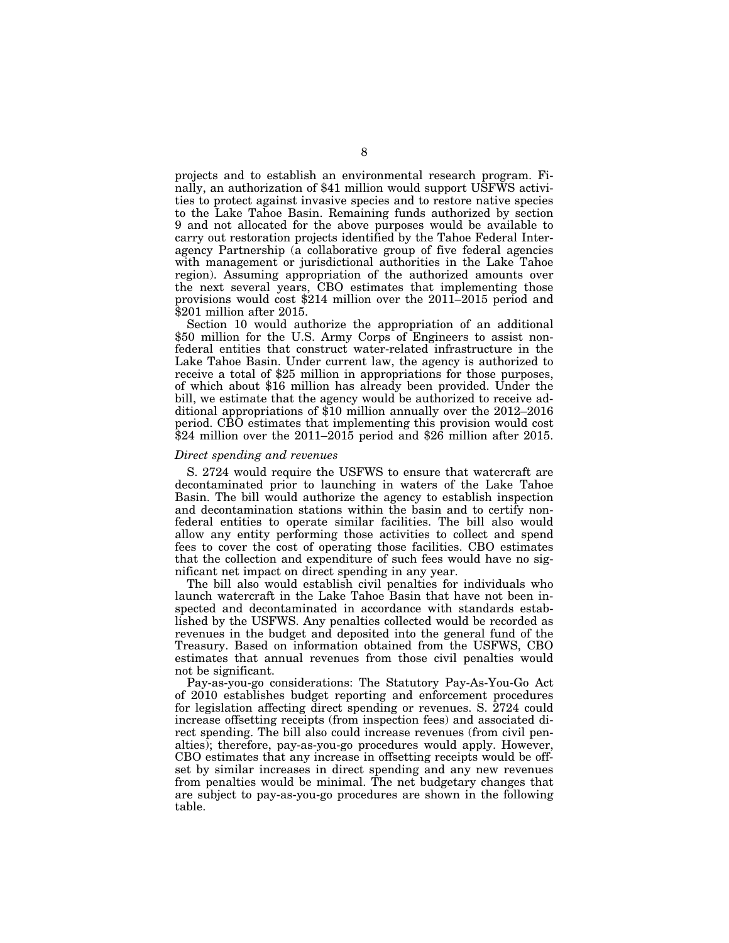projects and to establish an environmental research program. Finally, an authorization of \$41 million would support USFWS activities to protect against invasive species and to restore native species to the Lake Tahoe Basin. Remaining funds authorized by section 9 and not allocated for the above purposes would be available to carry out restoration projects identified by the Tahoe Federal Interagency Partnership (a collaborative group of five federal agencies with management or jurisdictional authorities in the Lake Tahoe region). Assuming appropriation of the authorized amounts over the next several years, CBO estimates that implementing those provisions would cost \$214 million over the 2011–2015 period and \$201 million after 2015.

Section 10 would authorize the appropriation of an additional \$50 million for the U.S. Army Corps of Engineers to assist nonfederal entities that construct water-related infrastructure in the Lake Tahoe Basin. Under current law, the agency is authorized to receive a total of \$25 million in appropriations for those purposes, of which about \$16 million has already been provided. Under the bill, we estimate that the agency would be authorized to receive additional appropriations of \$10 million annually over the 2012–2016 period. CBO estimates that implementing this provision would cost \$24 million over the 2011–2015 period and \$26 million after 2015.

#### *Direct spending and revenues*

S. 2724 would require the USFWS to ensure that watercraft are decontaminated prior to launching in waters of the Lake Tahoe Basin. The bill would authorize the agency to establish inspection and decontamination stations within the basin and to certify nonfederal entities to operate similar facilities. The bill also would allow any entity performing those activities to collect and spend fees to cover the cost of operating those facilities. CBO estimates that the collection and expenditure of such fees would have no significant net impact on direct spending in any year.

The bill also would establish civil penalties for individuals who launch watercraft in the Lake Tahoe Basin that have not been inspected and decontaminated in accordance with standards established by the USFWS. Any penalties collected would be recorded as revenues in the budget and deposited into the general fund of the Treasury. Based on information obtained from the USFWS, CBO estimates that annual revenues from those civil penalties would not be significant.

Pay-as-you-go considerations: The Statutory Pay-As-You-Go Act of 2010 establishes budget reporting and enforcement procedures for legislation affecting direct spending or revenues. S. 2724 could increase offsetting receipts (from inspection fees) and associated direct spending. The bill also could increase revenues (from civil penalties); therefore, pay-as-you-go procedures would apply. However, CBO estimates that any increase in offsetting receipts would be offset by similar increases in direct spending and any new revenues from penalties would be minimal. The net budgetary changes that are subject to pay-as-you-go procedures are shown in the following table.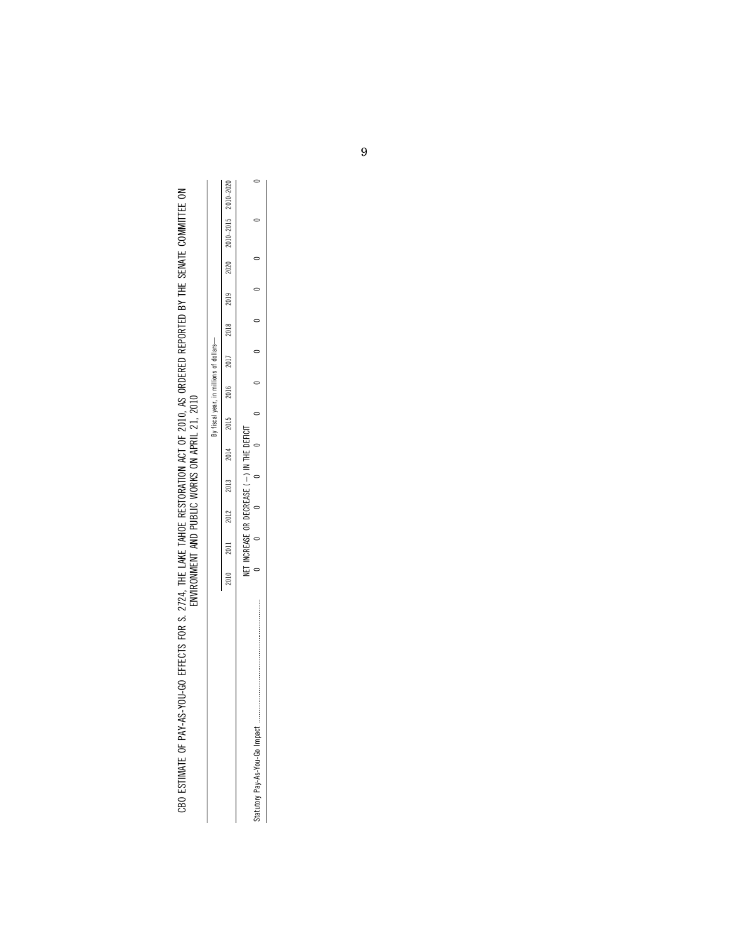|                               |      |          |                 |                |                       | By fiscal year, in millions |      | $\frac{2}{18}$ |      |  |                                       |  |
|-------------------------------|------|----------|-----------------|----------------|-----------------------|-----------------------------|------|----------------|------|--|---------------------------------------|--|
|                               | 2010 | 2011     |                 | 2012 2013 2014 |                       | 2015                        | 2016 | 2017           | 2018 |  | $2019$ $2020$ $2010-2015$ $2010-2020$ |  |
|                               | į    | CREASE ( | OR DECREASE (-) |                | <b>IN THE DEFICIT</b> |                             |      |                |      |  |                                       |  |
| statutory Pay-As-You-Go Impac |      |          |                 |                |                       |                             |      |                |      |  |                                       |  |
|                               |      |          |                 |                |                       |                             |      |                |      |  |                                       |  |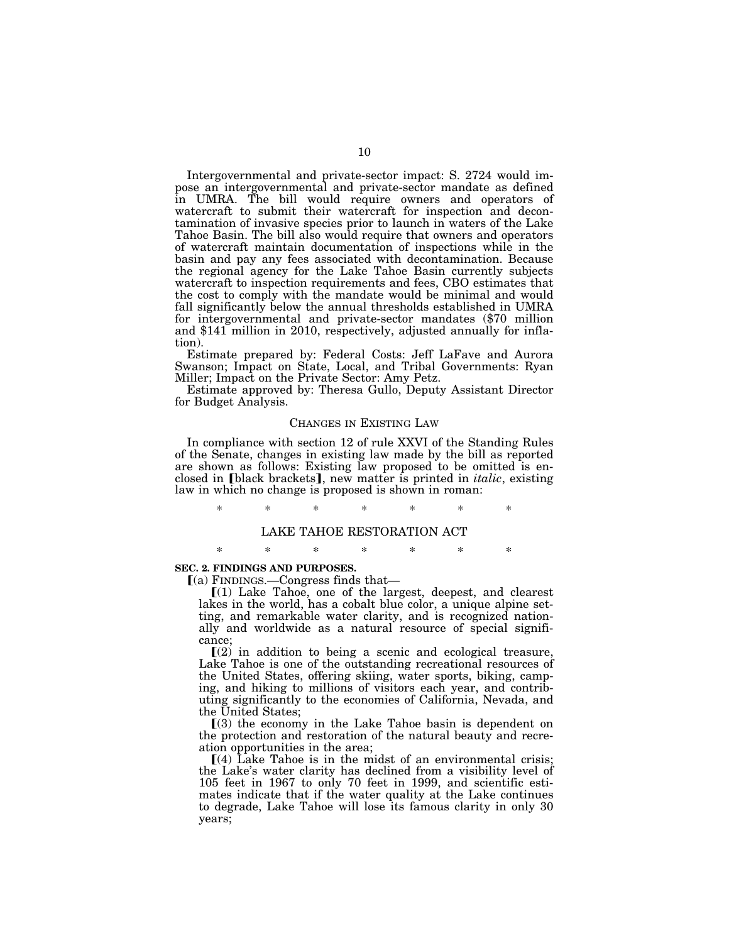Intergovernmental and private-sector impact: S. 2724 would impose an intergovernmental and private-sector mandate as defined in UMRA. The bill would require owners and operators of watercraft to submit their watercraft for inspection and decontamination of invasive species prior to launch in waters of the Lake Tahoe Basin. The bill also would require that owners and operators of watercraft maintain documentation of inspections while in the basin and pay any fees associated with decontamination. Because the regional agency for the Lake Tahoe Basin currently subjects watercraft to inspection requirements and fees, CBO estimates that the cost to comply with the mandate would be minimal and would fall significantly below the annual thresholds established in UMRA for intergovernmental and private-sector mandates (\$70 million and \$141 million in 2010, respectively, adjusted annually for inflation).

Estimate prepared by: Federal Costs: Jeff LaFave and Aurora Swanson; Impact on State, Local, and Tribal Governments: Ryan Miller; Impact on the Private Sector: Amy Petz.

Estimate approved by: Theresa Gullo, Deputy Assistant Director for Budget Analysis.

#### CHANGES IN EXISTING LAW

In compliance with section 12 of rule XXVI of the Standing Rules of the Senate, changes in existing law made by the bill as reported are shown as follows: Existing law proposed to be omitted is enclosed in [black brackets], new matter is printed in *italic*, existing law in which no change is proposed is shown in roman:

# \* \* \* \* \* \* \* LAKE TAHOE RESTORATION ACT

# \* \* \* \* \* \* \*

## **SEC. 2. FINDINGS AND PURPOSES.**

 $(a)$  FINDINGS.—Congress finds that—

 $(1)$  Lake Tahoe, one of the largest, deepest, and clearest lakes in the world, has a cobalt blue color, a unique alpine setting, and remarkable water clarity, and is recognized nationally and worldwide as a natural resource of special significance;

 $(2)$  in addition to being a scenic and ecological treasure, Lake Tahoe is one of the outstanding recreational resources of the United States, offering skiing, water sports, biking, camping, and hiking to millions of visitors each year, and contributing significantly to the economies of California, Nevada, and the United States;

 $(3)$  the economy in the Lake Tahoe basin is dependent on the protection and restoration of the natural beauty and recreation opportunities in the area;

 $(a)$  Lake Tahoe is in the midst of an environmental crisis; the Lake's water clarity has declined from a visibility level of 105 feet in 1967 to only 70 feet in 1999, and scientific estimates indicate that if the water quality at the Lake continues to degrade, Lake Tahoe will lose its famous clarity in only 30 years;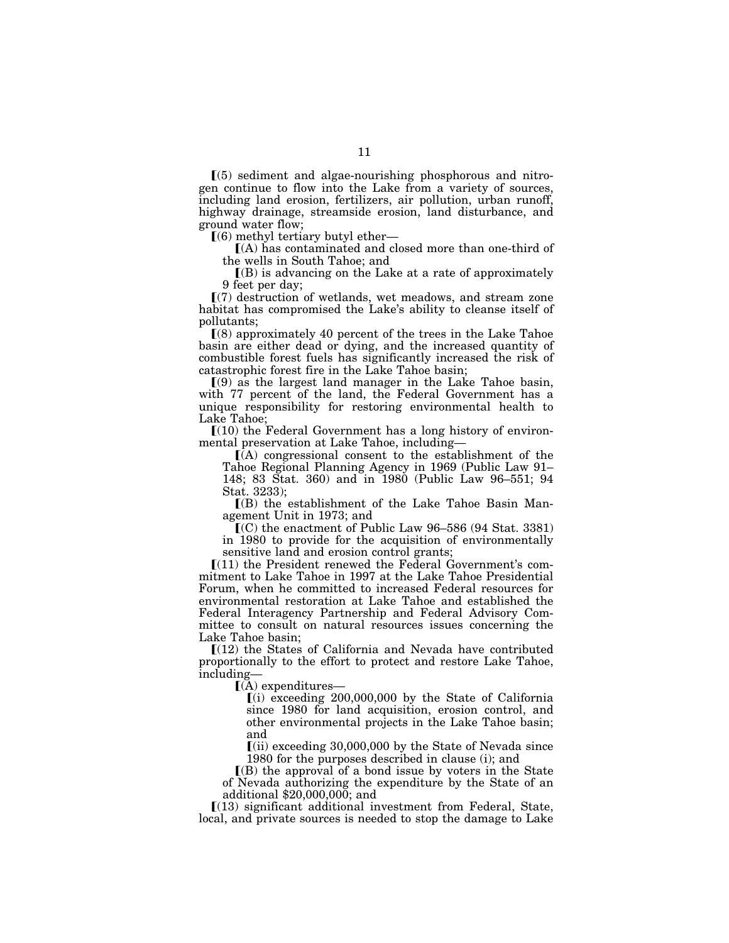$(5)$  sediment and algae-nourishing phosphorous and nitrogen continue to flow into the Lake from a variety of sources, including land erosion, fertilizers, air pollution, urban runoff, highway drainage, streamside erosion, land disturbance, and ground water flow;

 $(6)$  methyl tertiary butyl ether—

 $(A)$  has contaminated and closed more than one-third of the wells in South Tahoe; and

 $\Gamma(B)$  is advancing on the Lake at a rate of approximately 9 feet per day;

 $(7)$  destruction of wetlands, wet meadows, and stream zone habitat has compromised the Lake's ability to cleanse itself of pollutants;

 $(8)$  approximately 40 percent of the trees in the Lake Tahoe basin are either dead or dying, and the increased quantity of combustible forest fuels has significantly increased the risk of catastrophic forest fire in the Lake Tahoe basin;

 $(9)$  as the largest land manager in the Lake Tahoe basin, with 77 percent of the land, the Federal Government has a unique responsibility for restoring environmental health to Lake Tahoe;

 $(10)$  the Federal Government has a long history of environmental preservation at Lake Tahoe, including—

 $(A)$  congressional consent to the establishment of the Tahoe Regional Planning Agency in 1969 (Public Law 91– 148; 83 Stat. 360) and in 1980 (Public Law 96–551; 94 Stat. 3233);

 $($ B) the establishment of the Lake Tahoe Basin Management Unit in 1973; and

 $(C)$  the enactment of Public Law 96–586 (94 Stat. 3381) in 1980 to provide for the acquisition of environmentally sensitive land and erosion control grants;

 $[(11)$  the President renewed the Federal Government's commitment to Lake Tahoe in 1997 at the Lake Tahoe Presidential Forum, when he committed to increased Federal resources for environmental restoration at Lake Tahoe and established the Federal Interagency Partnership and Federal Advisory Committee to consult on natural resources issues concerning the Lake Tahoe basin;

 $[(12)$  the States of California and Nevada have contributed proportionally to the effort to protect and restore Lake Tahoe, including—

 $[(A)$  expenditures—

 $(i)$  exceeding 200,000,000 by the State of California since 1980 for land acquisition, erosion control, and other environmental projects in the Lake Tahoe basin; and

 $(iii)$  exceeding 30,000,000 by the State of Nevada since 1980 for the purposes described in clause (i); and

 $($ B) the approval of a bond issue by voters in the State of Nevada authorizing the expenditure by the State of an additional \$20,000,000; and

 $(13)$  significant additional investment from Federal, State, local, and private sources is needed to stop the damage to Lake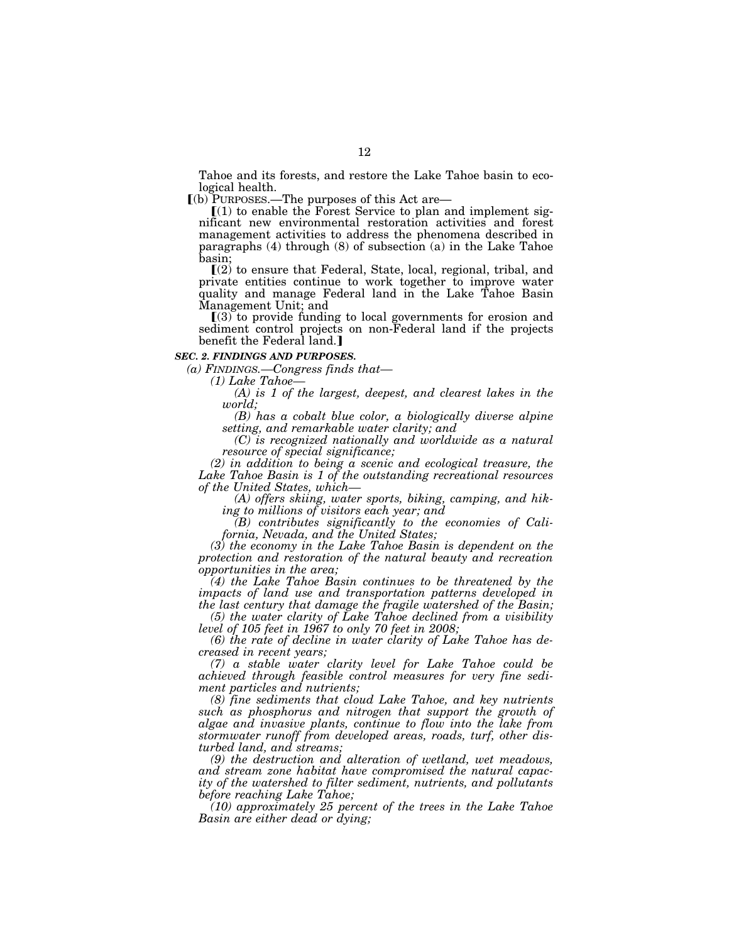Tahoe and its forests, and restore the Lake Tahoe basin to ecological health.

ø(b) PURPOSES.—The purposes of this Act are—

 $(1)$  to enable the Forest Service to plan and implement significant new environmental restoration activities and forest management activities to address the phenomena described in paragraphs (4) through (8) of subsection (a) in the Lake Tahoe basin;

 $(2)$  to ensure that Federal, State, local, regional, tribal, and private entities continue to work together to improve water quality and manage Federal land in the Lake Tahoe Basin Management Unit; and

 $(3)$  to provide funding to local governments for erosion and sediment control projects on non-Federal land if the projects benefit the Federal land.]

#### *SEC. 2. FINDINGS AND PURPOSES.*

*(a) FINDINGS.—Congress finds that—* 

*(1) Lake Tahoe—* 

*(A) is 1 of the largest, deepest, and clearest lakes in the world;* 

*(B) has a cobalt blue color, a biologically diverse alpine setting, and remarkable water clarity; and* 

*(C) is recognized nationally and worldwide as a natural resource of special significance;* 

*(2) in addition to being a scenic and ecological treasure, the*  Lake Tahoe Basin is 1 of the outstanding recreational resources *of the United States, which—* 

*(A) offers skiing, water sports, biking, camping, and hiking to millions of visitors each year; and* 

*(B) contributes significantly to the economies of California, Nevada, and the United States;* 

*(3) the economy in the Lake Tahoe Basin is dependent on the protection and restoration of the natural beauty and recreation opportunities in the area;* 

*(4) the Lake Tahoe Basin continues to be threatened by the impacts of land use and transportation patterns developed in the last century that damage the fragile watershed of the Basin;* 

*(5) the water clarity of Lake Tahoe declined from a visibility level of 105 feet in 1967 to only 70 feet in 2008;* 

*(6) the rate of decline in water clarity of Lake Tahoe has decreased in recent years;* 

*(7) a stable water clarity level for Lake Tahoe could be achieved through feasible control measures for very fine sediment particles and nutrients;* 

*(8) fine sediments that cloud Lake Tahoe, and key nutrients such as phosphorus and nitrogen that support the growth of algae and invasive plants, continue to flow into the lake from stormwater runoff from developed areas, roads, turf, other disturbed land, and streams;* 

*(9) the destruction and alteration of wetland, wet meadows, and stream zone habitat have compromised the natural capacity of the watershed to filter sediment, nutrients, and pollutants before reaching Lake Tahoe;* 

*(10) approximately 25 percent of the trees in the Lake Tahoe Basin are either dead or dying;*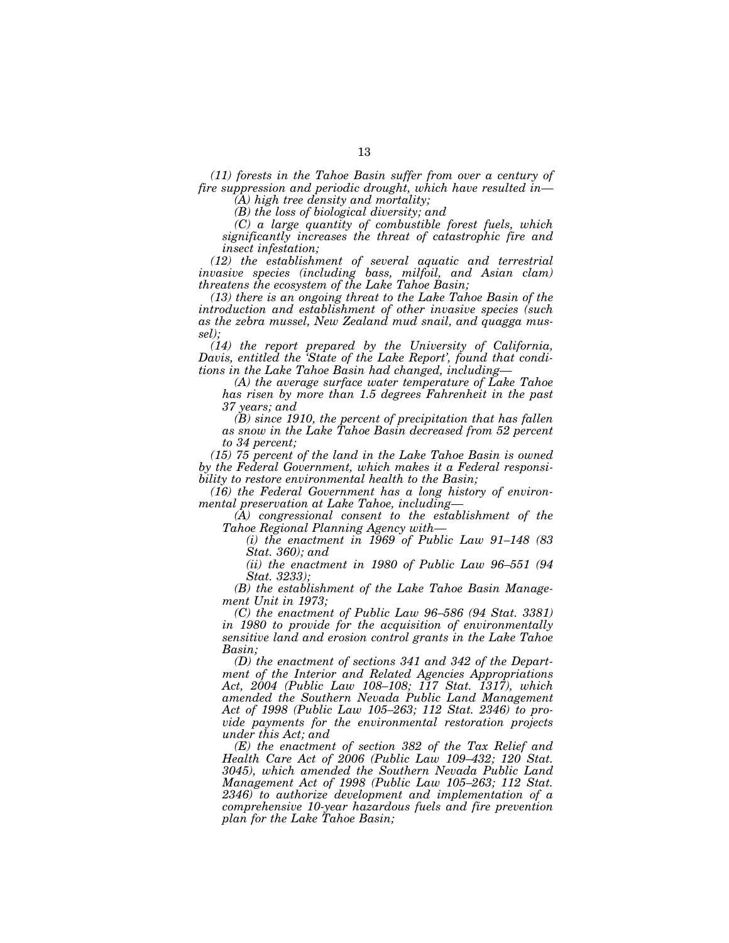*(11) forests in the Tahoe Basin suffer from over a century of fire suppression and periodic drought, which have resulted in—* 

*(A) high tree density and mortality;* 

*(B) the loss of biological diversity; and* 

*(C) a large quantity of combustible forest fuels, which significantly increases the threat of catastrophic fire and insect infestation;* 

*(12) the establishment of several aquatic and terrestrial invasive species (including bass, milfoil, and Asian clam) threatens the ecosystem of the Lake Tahoe Basin;* 

*(13) there is an ongoing threat to the Lake Tahoe Basin of the introduction and establishment of other invasive species (such as the zebra mussel, New Zealand mud snail, and quagga mussel);* 

*(14) the report prepared by the University of California, Davis, entitled the 'State of the Lake Report', found that conditions in the Lake Tahoe Basin had changed, including—* 

*(A) the average surface water temperature of Lake Tahoe has risen by more than 1.5 degrees Fahrenheit in the past 37 years; and* 

*(B) since 1910, the percent of precipitation that has fallen as snow in the Lake Tahoe Basin decreased from 52 percent to 34 percent;* 

*(15) 75 percent of the land in the Lake Tahoe Basin is owned by the Federal Government, which makes it a Federal responsibility to restore environmental health to the Basin;* 

*(16) the Federal Government has a long history of environmental preservation at Lake Tahoe, including—* 

*(A) congressional consent to the establishment of the Tahoe Regional Planning Agency with—* 

*(i) the enactment in 1969 of Public Law 91–148 (83 Stat. 360); and* 

*(ii) the enactment in 1980 of Public Law 96–551 (94 Stat. 3233);* 

*(B) the establishment of the Lake Tahoe Basin Management Unit in 1973;* 

*(C) the enactment of Public Law 96–586 (94 Stat. 3381) in 1980 to provide for the acquisition of environmentally sensitive land and erosion control grants in the Lake Tahoe Basin;* 

*(D) the enactment of sections 341 and 342 of the Department of the Interior and Related Agencies Appropriations Act, 2004 (Public Law 108–108; 117 Stat. 1317), which amended the Southern Nevada Public Land Management Act of 1998 (Public Law 105–263; 112 Stat. 2346) to provide payments for the environmental restoration projects under this Act; and* 

*(E) the enactment of section 382 of the Tax Relief and Health Care Act of 2006 (Public Law 109–432; 120 Stat. 3045), which amended the Southern Nevada Public Land Management Act of 1998 (Public Law 105–263; 112 Stat. 2346) to authorize development and implementation of a comprehensive 10-year hazardous fuels and fire prevention plan for the Lake Tahoe Basin;*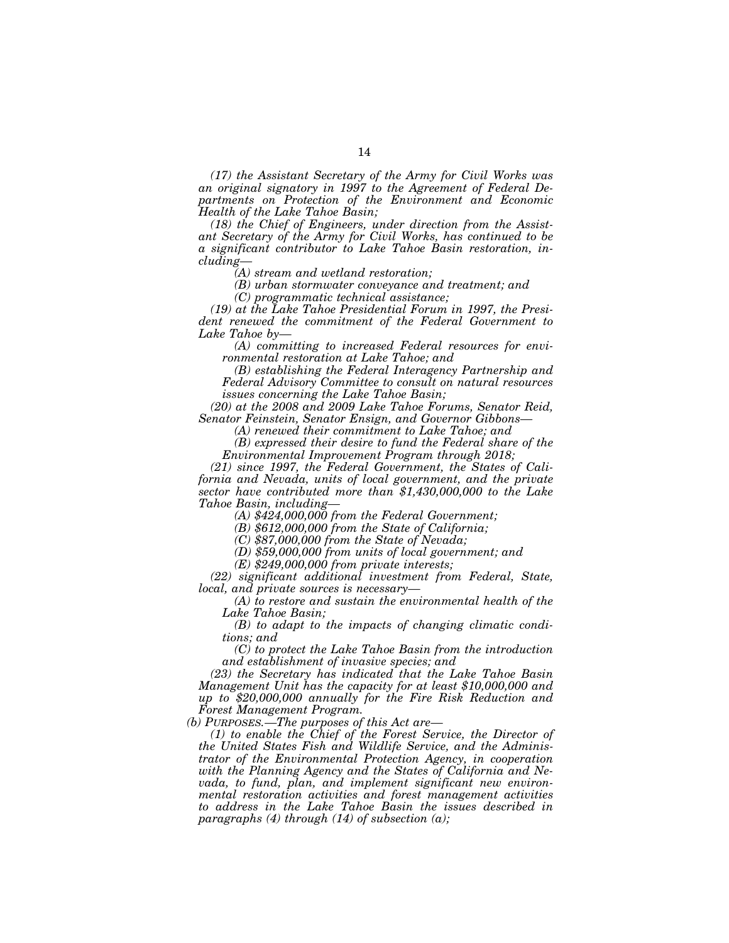*(17) the Assistant Secretary of the Army for Civil Works was an original signatory in 1997 to the Agreement of Federal Departments on Protection of the Environment and Economic Health of the Lake Tahoe Basin;* 

*(18) the Chief of Engineers, under direction from the Assistant Secretary of the Army for Civil Works, has continued to be a significant contributor to Lake Tahoe Basin restoration, including—* 

*(A) stream and wetland restoration;* 

*(B) urban stormwater conveyance and treatment; and (C) programmatic technical assistance;* 

*(19) at the Lake Tahoe Presidential Forum in 1997, the President renewed the commitment of the Federal Government to Lake Tahoe by—* 

*(A) committing to increased Federal resources for environmental restoration at Lake Tahoe; and* 

*(B) establishing the Federal Interagency Partnership and Federal Advisory Committee to consult on natural resources issues concerning the Lake Tahoe Basin;* 

*(20) at the 2008 and 2009 Lake Tahoe Forums, Senator Reid, Senator Feinstein, Senator Ensign, and Governor Gibbons—* 

*(A) renewed their commitment to Lake Tahoe; and* 

*(B) expressed their desire to fund the Federal share of the Environmental Improvement Program through 2018;* 

*(21) since 1997, the Federal Government, the States of California and Nevada, units of local government, and the private sector have contributed more than \$1,430,000,000 to the Lake Tahoe Basin, including—* 

*(A) \$424,000,000 from the Federal Government;* 

*(B) \$612,000,000 from the State of California;* 

*(C) \$87,000,000 from the State of Nevada;* 

*(D) \$59,000,000 from units of local government; and* 

*(E) \$249,000,000 from private interests;* 

*(22) significant additional investment from Federal, State, local, and private sources is necessary—* 

*(A) to restore and sustain the environmental health of the Lake Tahoe Basin;* 

*(B) to adapt to the impacts of changing climatic conditions; and* 

*(C) to protect the Lake Tahoe Basin from the introduction and establishment of invasive species; and* 

*(23) the Secretary has indicated that the Lake Tahoe Basin Management Unit has the capacity for at least \$10,000,000 and up to \$20,000,000 annually for the Fire Risk Reduction and Forest Management Program.* 

*(b) PURPOSES.—The purposes of this Act are—* 

*(1) to enable the Chief of the Forest Service, the Director of the United States Fish and Wildlife Service, and the Administrator of the Environmental Protection Agency, in cooperation with the Planning Agency and the States of California and Nevada, to fund, plan, and implement significant new environmental restoration activities and forest management activities to address in the Lake Tahoe Basin the issues described in paragraphs (4) through (14) of subsection (a);*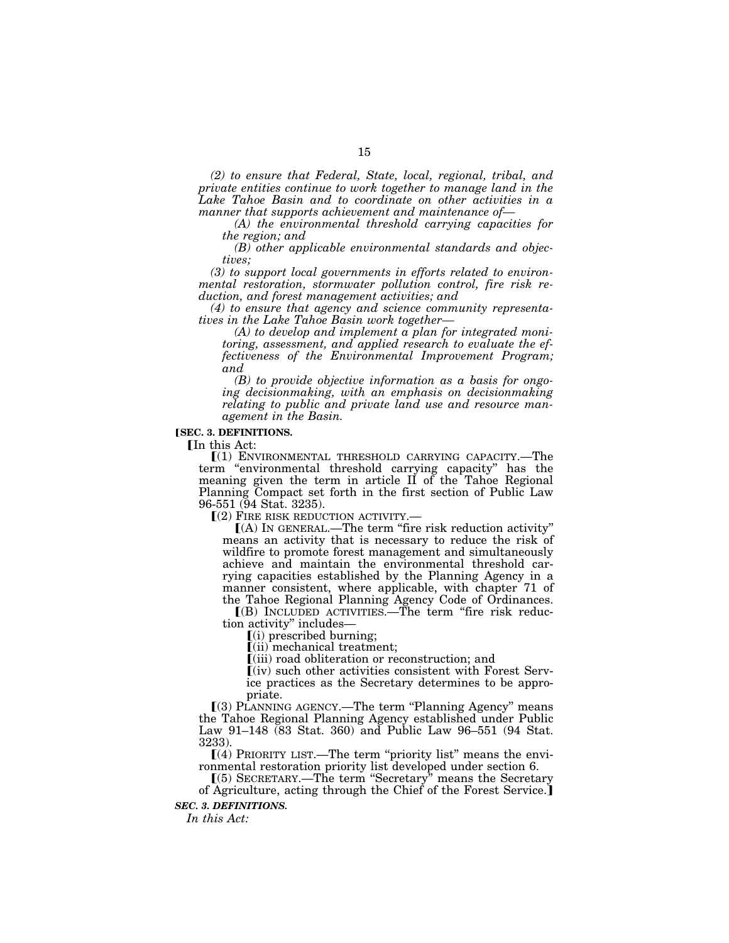*(2) to ensure that Federal, State, local, regional, tribal, and private entities continue to work together to manage land in the Lake Tahoe Basin and to coordinate on other activities in a manner that supports achievement and maintenance of—* 

*(A) the environmental threshold carrying capacities for the region; and* 

*(B) other applicable environmental standards and objectives;* 

*(3) to support local governments in efforts related to environmental restoration, stormwater pollution control, fire risk reduction, and forest management activities; and* 

*(4) to ensure that agency and science community representatives in the Lake Tahoe Basin work together—* 

*(A) to develop and implement a plan for integrated monitoring, assessment, and applied research to evaluate the effectiveness of the Environmental Improvement Program; and* 

*(B) to provide objective information as a basis for ongoing decisionmaking, with an emphasis on decisionmaking relating to public and private land use and resource management in the Basin.* 

## **ISEC. 3. DEFINITIONS.**

In this Act:

ø(1) ENVIRONMENTAL THRESHOLD CARRYING CAPACITY.—The term ''environmental threshold carrying capacity'' has the meaning given the term in article II of the Tahoe Regional Planning Compact set forth in the first section of Public Law 96-551 (94 Stat. 3235).

 $(2)$  FIRE RISK REDUCTION ACTIVITY.—

 $[(A)$  In GENERAL.—The term "fire risk reduction activity" means an activity that is necessary to reduce the risk of wildfire to promote forest management and simultaneously achieve and maintain the environmental threshold carrying capacities established by the Planning Agency in a manner consistent, where applicable, with chapter 71 of the Tahoe Regional Planning Agency Code of Ordinances.<br>
[(B) INCLUDED ACTIVITIES.—The term "fire risk reduc-

tion activity'' includes—

ø(i) prescribed burning;

 $\lceil$ (ii) mechanical treatment;

ø(iii) road obliteration or reconstruction; and

 $(iv)$  such other activities consistent with Forest Serv-

ice practices as the Secretary determines to be appropriate.

 $(3)$  PLANNING AGENCY.—The term "Planning Agency" means the Tahoe Regional Planning Agency established under Public Law 91–148 (83 Stat. 360) and Public Law 96–551 (94 Stat. 3233).

 $[(4)$  PRIORITY LIST.—The term "priority list" means the environmental restoration priority list developed under section 6.<br>
[(5) SECRETARY.—The term "Secretary" means the Secretary

of Agriculture, acting through the Chief of the Forest Service.]

*SEC. 3. DEFINITIONS.* 

*In this Act:*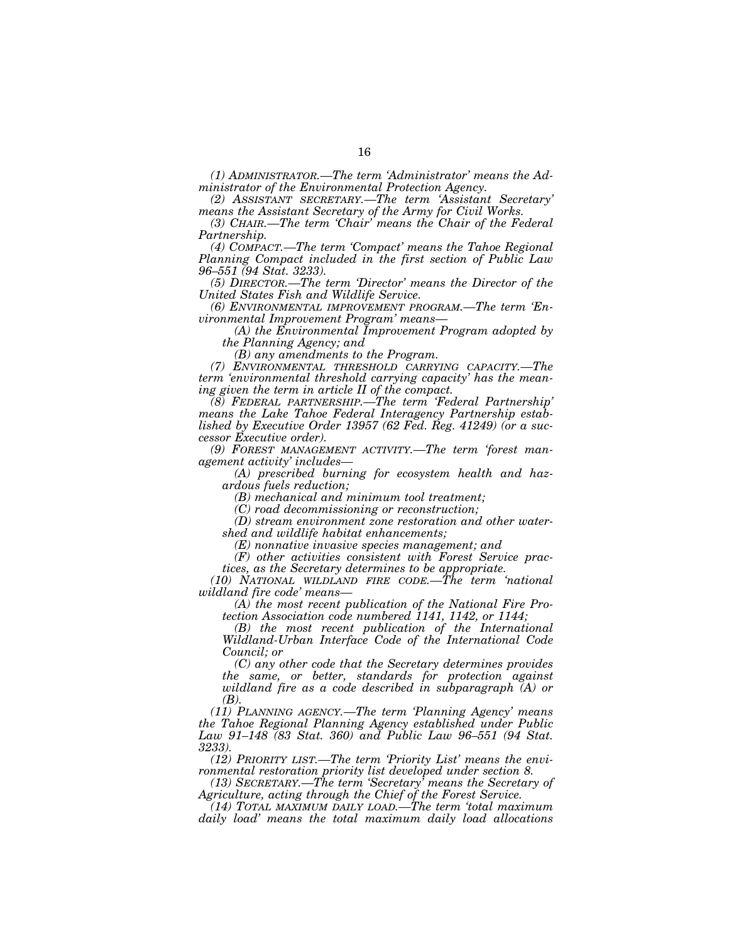*(1) ADMINISTRATOR.—The term 'Administrator' means the Administrator of the Environmental Protection Agency.* 

*(2) ASSISTANT SECRETARY.—The term 'Assistant Secretary' means the Assistant Secretary of the Army for Civil Works.* 

*(3) CHAIR.—The term 'Chair' means the Chair of the Federal Partnership.* 

*(4) COMPACT.—The term 'Compact' means the Tahoe Regional Planning Compact included in the first section of Public Law 96–551 (94 Stat. 3233).* 

*(5) DIRECTOR.—The term 'Director' means the Director of the United States Fish and Wildlife Service.* 

*(6) ENVIRONMENTAL IMPROVEMENT PROGRAM.—The term 'Environmental Improvement Program' means—* 

*(A) the Environmental Improvement Program adopted by the Planning Agency; and* 

*(B) any amendments to the Program.* 

*(7) ENVIRONMENTAL THRESHOLD CARRYING CAPACITY.—The term 'environmental threshold carrying capacity' has the meaning given the term in article II of the compact.* 

*(8) FEDERAL PARTNERSHIP.—The term 'Federal Partnership' means the Lake Tahoe Federal Interagency Partnership established by Executive Order 13957 (62 Fed. Reg. 41249) (or a successor Executive order).* 

*(9) FOREST MANAGEMENT ACTIVITY.—The term 'forest management activity' includes—* 

*(A) prescribed burning for ecosystem health and hazardous fuels reduction;* 

*(B) mechanical and minimum tool treatment;* 

*(C) road decommissioning or reconstruction;* 

*(D) stream environment zone restoration and other watershed and wildlife habitat enhancements;* 

*(E) nonnative invasive species management; and* 

*(F) other activities consistent with Forest Service practices, as the Secretary determines to be appropriate.* 

*(10) NATIONAL WILDLAND FIRE CODE.—The term 'national wildland fire code' means—* 

*(A) the most recent publication of the National Fire Protection Association code numbered 1141, 1142, or 1144;* 

*(B) the most recent publication of the International Wildland-Urban Interface Code of the International Code Council; or* 

*(C) any other code that the Secretary determines provides the same, or better, standards for protection against wildland fire as a code described in subparagraph (A) or (B).* 

*(11) PLANNING AGENCY.—The term 'Planning Agency' means the Tahoe Regional Planning Agency established under Public Law 91–148 (83 Stat. 360) and Public Law 96–551 (94 Stat. 3233).* 

*(12) PRIORITY LIST.—The term 'Priority List' means the environmental restoration priority list developed under section 8.* 

*(13) SECRETARY.—The term 'Secretary' means the Secretary of Agriculture, acting through the Chief of the Forest Service.* 

*(14) TOTAL MAXIMUM DAILY LOAD.—The term 'total maximum daily load' means the total maximum daily load allocations*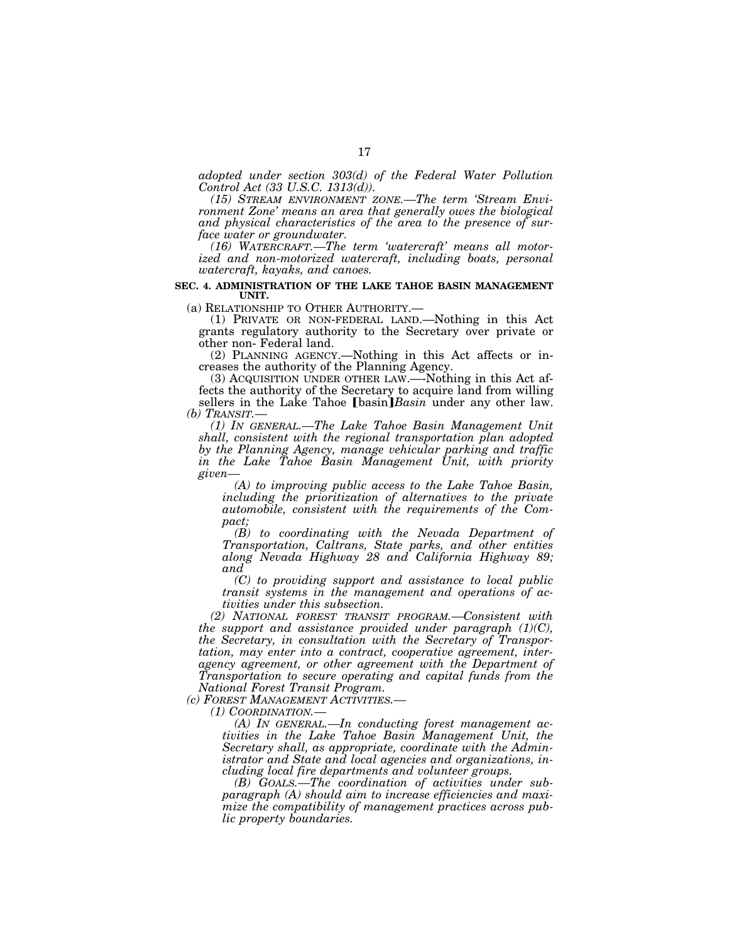*adopted under section 303(d) of the Federal Water Pollution Control Act (33 U.S.C. 1313(d)).* 

*(15) STREAM ENVIRONMENT ZONE.—The term 'Stream Environment Zone' means an area that generally owes the biological and physical characteristics of the area to the presence of surface water or groundwater.* 

*(16) WATERCRAFT.—The term 'watercraft' means all motorized and non-motorized watercraft, including boats, personal watercraft, kayaks, and canoes.* 

#### **SEC. 4. ADMINISTRATION OF THE LAKE TAHOE BASIN MANAGEMENT UNIT.**

(a) RELATIONSHIP TO OTHER AUTHORITY.— (1) PRIVATE OR NON-FEDERAL LAND.—Nothing in this Act grants regulatory authority to the Secretary over private or other non- Federal land.

(2) PLANNING AGENCY.—Nothing in this Act affects or increases the authority of the Planning Agency.

(3) ACQUISITION UNDER OTHER LAW.—-Nothing in this Act affects the authority of the Secretary to acquire land from willing sellers in the Lake Tahoe [basin]*Basin* under any other law. *(b) TRANSIT.— (1) IN GENERAL.—The Lake Tahoe Basin Management Unit* 

*shall, consistent with the regional transportation plan adopted by the Planning Agency, manage vehicular parking and traffic in the Lake Tahoe Basin Management Unit, with priority given—* 

*(A) to improving public access to the Lake Tahoe Basin, including the prioritization of alternatives to the private automobile, consistent with the requirements of the Compact;* 

*(B) to coordinating with the Nevada Department of Transportation, Caltrans, State parks, and other entities along Nevada Highway 28 and California Highway 89; and* 

*(C) to providing support and assistance to local public transit systems in the management and operations of activities under this subsection.* 

*(2) NATIONAL FOREST TRANSIT PROGRAM.—Consistent with the support and assistance provided under paragraph (1)(C), the Secretary, in consultation with the Secretary of Transportation, may enter into a contract, cooperative agreement, interagency agreement, or other agreement with the Department of Transportation to secure operating and capital funds from the National Forest Transit Program.* 

*(c) FOREST MANAGEMENT ACTIVITIES.—* 

*(1) COORDINATION.—* 

*(A) IN GENERAL.—In conducting forest management activities in the Lake Tahoe Basin Management Unit, the Secretary shall, as appropriate, coordinate with the Administrator and State and local agencies and organizations, including local fire departments and volunteer groups.* 

*(B) GOALS.—The coordination of activities under subparagraph (A) should aim to increase efficiencies and maximize the compatibility of management practices across public property boundaries.*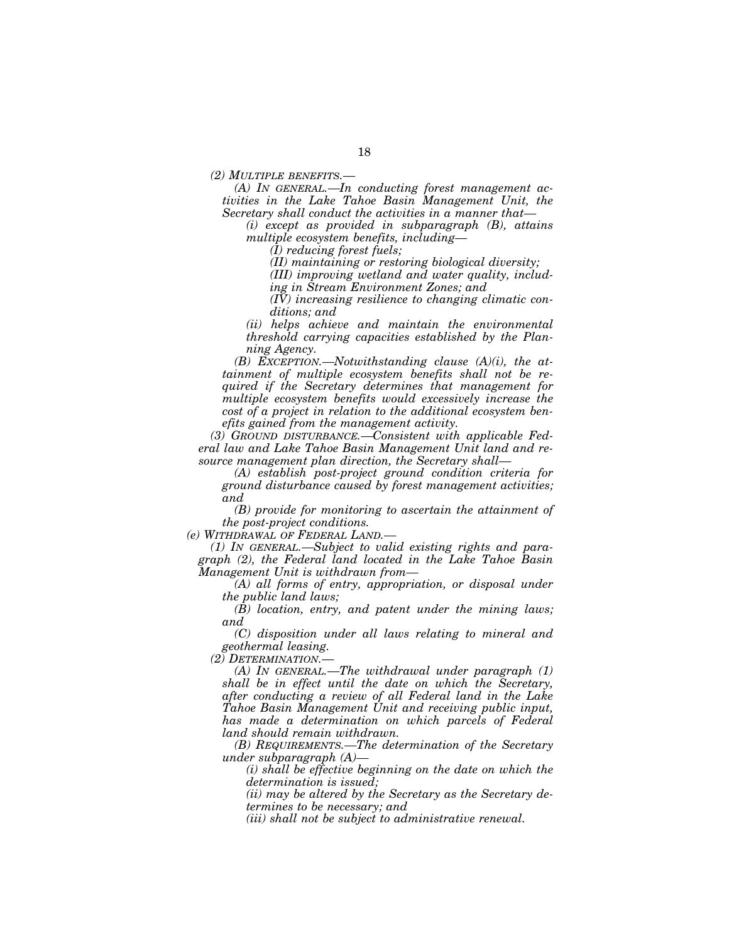*(2) MULTIPLE BENEFITS.—* 

*(A) IN GENERAL.—In conducting forest management activities in the Lake Tahoe Basin Management Unit, the Secretary shall conduct the activities in a manner that—* 

*(i) except as provided in subparagraph (B), attains multiple ecosystem benefits, including—* 

*(I) reducing forest fuels;* 

*(II) maintaining or restoring biological diversity;* 

*(III) improving wetland and water quality, includ-*

*ing in Stream Environment Zones; and* 

*(IV) increasing resilience to changing climatic conditions; and* 

*(ii) helps achieve and maintain the environmental threshold carrying capacities established by the Planning Agency.* 

*(B) EXCEPTION.—Notwithstanding clause (A)(i), the attainment of multiple ecosystem benefits shall not be required if the Secretary determines that management for multiple ecosystem benefits would excessively increase the cost of a project in relation to the additional ecosystem benefits gained from the management activity.* 

*(3) GROUND DISTURBANCE.—Consistent with applicable Federal law and Lake Tahoe Basin Management Unit land and resource management plan direction, the Secretary shall—* 

*(A) establish post-project ground condition criteria for ground disturbance caused by forest management activities; and* 

*(B) provide for monitoring to ascertain the attainment of the post-project conditions.* 

*(e) WITHDRAWAL OF FEDERAL LAND.—* 

*(1) IN GENERAL.—Subject to valid existing rights and paragraph (2), the Federal land located in the Lake Tahoe Basin Management Unit is withdrawn from—* 

*(A) all forms of entry, appropriation, or disposal under the public land laws;* 

*(B) location, entry, and patent under the mining laws; and* 

*(C) disposition under all laws relating to mineral and geothermal leasing.* 

*(2) DETERMINATION.—* 

*(A) IN GENERAL.—The withdrawal under paragraph (1) shall be in effect until the date on which the Secretary, after conducting a review of all Federal land in the Lake Tahoe Basin Management Unit and receiving public input, has made a determination on which parcels of Federal land should remain withdrawn.* 

*(B) REQUIREMENTS.—The determination of the Secretary under subparagraph (A)—* 

*(i) shall be effective beginning on the date on which the determination is issued;* 

*(ii) may be altered by the Secretary as the Secretary determines to be necessary; and* 

*(iii) shall not be subject to administrative renewal.*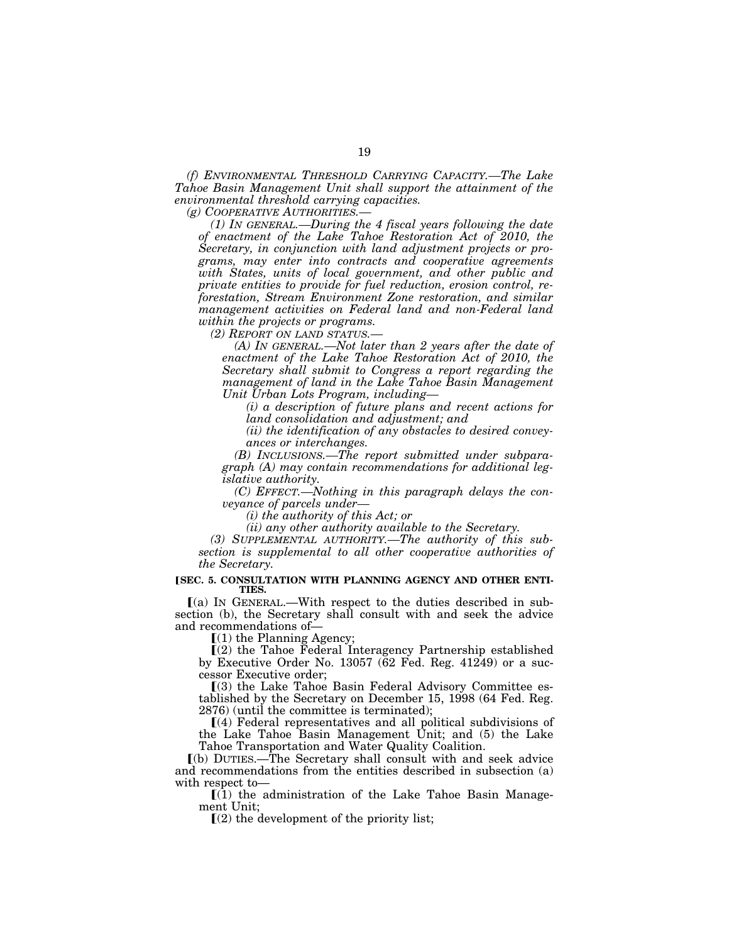*(f) ENVIRONMENTAL THRESHOLD CARRYING CAPACITY.—The Lake Tahoe Basin Management Unit shall support the attainment of the environmental threshold carrying capacities.* 

*(g) COOPERATIVE AUTHORITIES.—* 

*(1) IN GENERAL.—During the 4 fiscal years following the date of enactment of the Lake Tahoe Restoration Act of 2010, the Secretary, in conjunction with land adjustment projects or programs, may enter into contracts and cooperative agreements with States, units of local government, and other public and private entities to provide for fuel reduction, erosion control, reforestation, Stream Environment Zone restoration, and similar management activities on Federal land and non-Federal land within the projects or programs.* 

*(2) REPORT ON LAND STATUS.—* 

*(A) IN GENERAL.—Not later than 2 years after the date of enactment of the Lake Tahoe Restoration Act of 2010, the Secretary shall submit to Congress a report regarding the management of land in the Lake Tahoe Basin Management Unit Urban Lots Program, including—* 

*(i) a description of future plans and recent actions for land consolidation and adjustment; and* 

*(ii) the identification of any obstacles to desired conveyances or interchanges.* 

*(B) INCLUSIONS.—The report submitted under subparagraph (A) may contain recommendations for additional legislative authority.* 

*(C) EFFECT.—Nothing in this paragraph delays the conveyance of parcels under—* 

*(i) the authority of this Act; or* 

*(ii) any other authority available to the Secretary.* 

*(3) SUPPLEMENTAL AUTHORITY.—The authority of this subsection is supplemental to all other cooperative authorities of the Secretary.* 

#### **[SEC. 5. CONSULTATION WITH PLANNING AGENCY AND OTHER ENTI-TIES.**

 $(a)$  In GENERAL.—With respect to the duties described in subsection (b), the Secretary shall consult with and seek the advice and recommendations of—

 $(1)$  the Planning Agency;

 $\Gamma(2)$  the Tahoe Federal Interagency Partnership established by Executive Order No. 13057 (62 Fed. Reg. 41249) or a successor Executive order;

 $(3)$  the Lake Tahoe Basin Federal Advisory Committee established by the Secretary on December 15, 1998 (64 Fed. Reg. 2876) (until the committee is terminated);

 $[(4)$  Federal representatives and all political subdivisions of the Lake Tahoe Basin Management Unit; and (5) the Lake Tahoe Transportation and Water Quality Coalition.

ø(b) DUTIES.—The Secretary shall consult with and seek advice and recommendations from the entities described in subsection (a) with respect to—

 $\Gamma(1)$  the administration of the Lake Tahoe Basin Management Unit;

 $(2)$  the development of the priority list;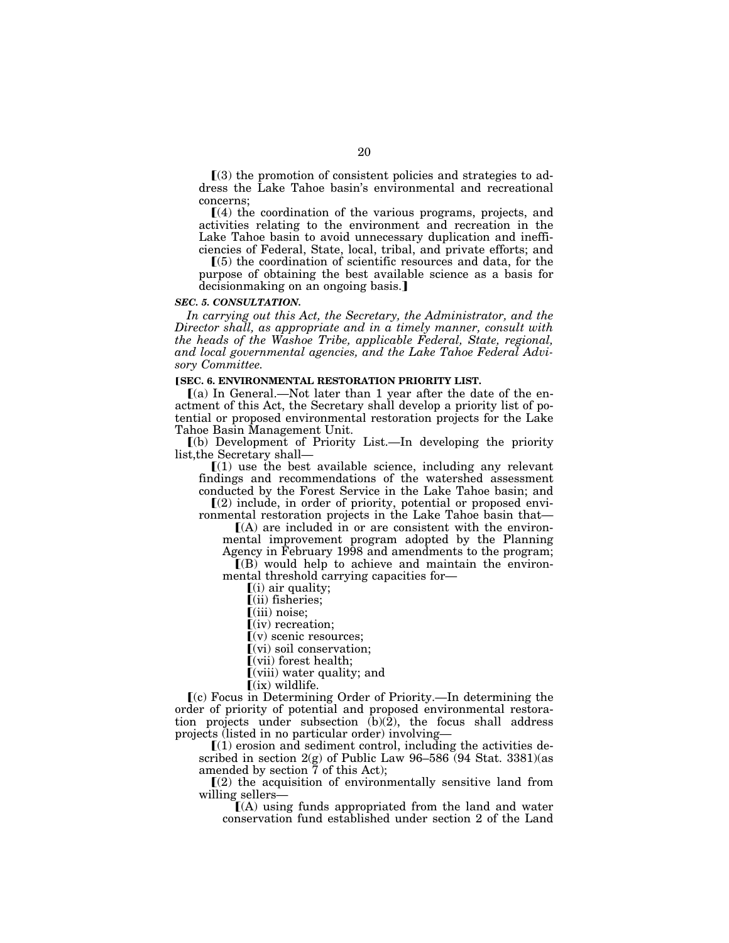$(3)$  the promotion of consistent policies and strategies to address the Lake Tahoe basin's environmental and recreational concerns;

 $(4)$  the coordination of the various programs, projects, and activities relating to the environment and recreation in the Lake Tahoe basin to avoid unnecessary duplication and inefficiencies of Federal, State, local, tribal, and private efforts; and

 $(5)$  the coordination of scientific resources and data, for the purpose of obtaining the best available science as a basis for decision making on an ongoing basis.

#### *SEC. 5. CONSULTATION.*

*In carrying out this Act, the Secretary, the Administrator, and the Director shall, as appropriate and in a timely manner, consult with the heads of the Washoe Tribe, applicable Federal, State, regional, and local governmental agencies, and the Lake Tahoe Federal Advisory Committee.* 

#### **[SEC. 6. ENVIRONMENTAL RESTORATION PRIORITY LIST.**

 $(a)$  In General.—Not later than 1 year after the date of the enactment of this Act, the Secretary shall develop a priority list of potential or proposed environmental restoration projects for the Lake Tahoe Basin Management Unit.

ø(b) Development of Priority List.—In developing the priority list,the Secretary shall—

 $(1)$  use the best available science, including any relevant findings and recommendations of the watershed assessment conducted by the Forest Service in the Lake Tahoe basin; and

 $(2)$  include, in order of priority, potential or proposed environmental restoration projects in the Lake Tahoe basin that—

 $(A)$  are included in or are consistent with the environmental improvement program adopted by the Planning Agency in February 1998 and amendments to the program;

 $I(B)$  would help to achieve and maintain the environmental threshold carrying capacities for—

 $(i)$  air quality;

 $\left[$ (ii) fisheries;

 $\overline{\phantom{a}}$  (iii) noise;

 $(iv)$  recreation;

 $\Gamma(v)$  scenic resources;

 $(vi)$  soil conservation;

ø(vii) forest health;

 $\left[$ (viii) water quality; and

 $(ix)$  wildlife.

 $\mathbf{f}(\mathbf{c})$  Focus in Determining Order of Priority.—In determining the order of priority of potential and proposed environmental restoration projects under subsection (b)(2), the focus shall address projects (listed in no particular order) involving—

 $(1)$  erosion and sediment control, including the activities described in section 2(g) of Public Law 96–586 (94 Stat. 3381)(as amended by section 7 of this Act);

 $(2)$  the acquisition of environmentally sensitive land from willing sellers—

 $(A)$  using funds appropriated from the land and water conservation fund established under section 2 of the Land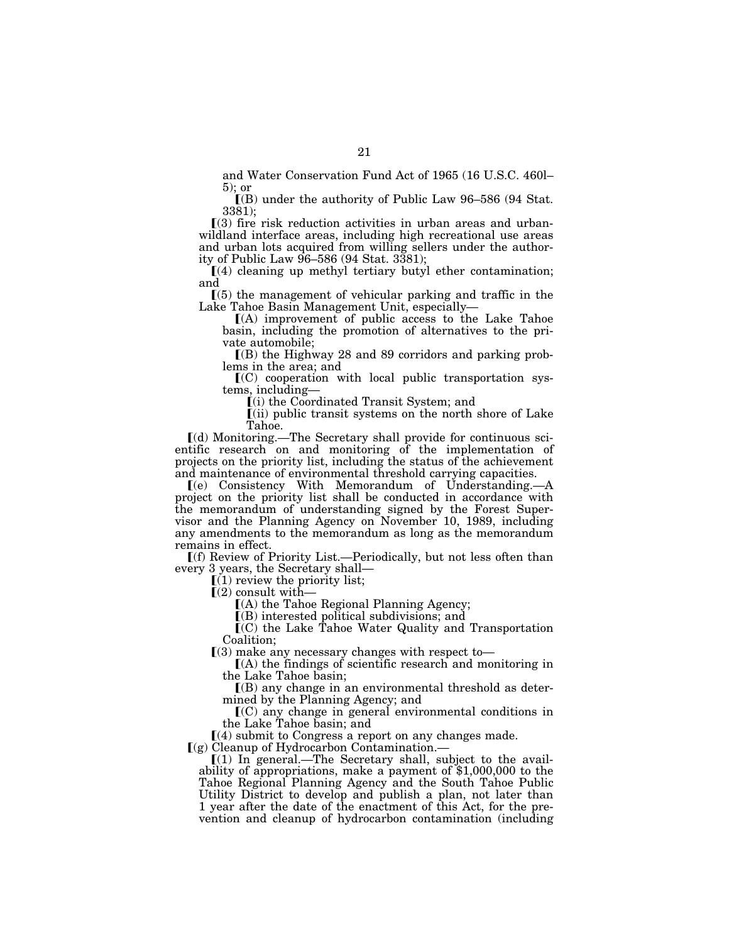and Water Conservation Fund Act of 1965 (16 U.S.C. 460l– 5); or

 $($ B) under the authority of Public Law 96–586 (94 Stat. 3381);

 $(3)$  fire risk reduction activities in urban areas and urbanwildland interface areas, including high recreational use areas and urban lots acquired from willing sellers under the authority of Public Law 96–586 (94 Stat. 3381);

 $(4)$  cleaning up methyl tertiary butyl ether contamination; and

 $(5)$  the management of vehicular parking and traffic in the Lake Tahoe Basin Management Unit, especially—

 $(A)$  improvement of public access to the Lake Tahoe basin, including the promotion of alternatives to the private automobile;

 $($ B) the Highway 28 and 89 corridors and parking problems in the area; and

 $\mathbb{I}(C)$  cooperation with local public transportation systems, including—

ø(i) the Coordinated Transit System; and

 $(iii)$  public transit systems on the north shore of Lake Tahoe.

ø(d) Monitoring.—The Secretary shall provide for continuous scientific research on and monitoring of the implementation of projects on the priority list, including the status of the achievement and maintenance of environmental threshold carrying capacities.

ø(e) Consistency With Memorandum of Understanding.—A project on the priority list shall be conducted in accordance with the memorandum of understanding signed by the Forest Supervisor and the Planning Agency on November 10, 1989, including any amendments to the memorandum as long as the memorandum remains in effect.

 $[(f)$  Review of Priority List.—Periodically, but not less often than every 3 years, the Secretary shall—

 $(1)$  review the priority list;

 $\lceil(2)$  consult with-

 $(A)$  the Tahoe Regional Planning Agency;

 $\overline{C(B)}$  interested political subdivisions; and

 $\Gamma$ <sup>(C)</sup> the Lake Tahoe Water Quality and Transportation Coalition;

 $(3)$  make any necessary changes with respect to-

 $(A)$  the findings of scientific research and monitoring in the Lake Tahoe basin;

 $(6)$  any change in an environmental threshold as determined by the Planning Agency; and

 $(C)$  any change in general environmental conditions in the Lake Tahoe basin; and

 $(4)$  submit to Congress a report on any changes made.

 $(q)$  Cleanup of Hydrocarbon Contamination.—

 $[(1)$  In general.—The Secretary shall, subject to the availability of appropriations, make a payment of \$1,000,000 to the Tahoe Regional Planning Agency and the South Tahoe Public Utility District to develop and publish a plan, not later than 1 year after the date of the enactment of this Act, for the prevention and cleanup of hydrocarbon contamination (including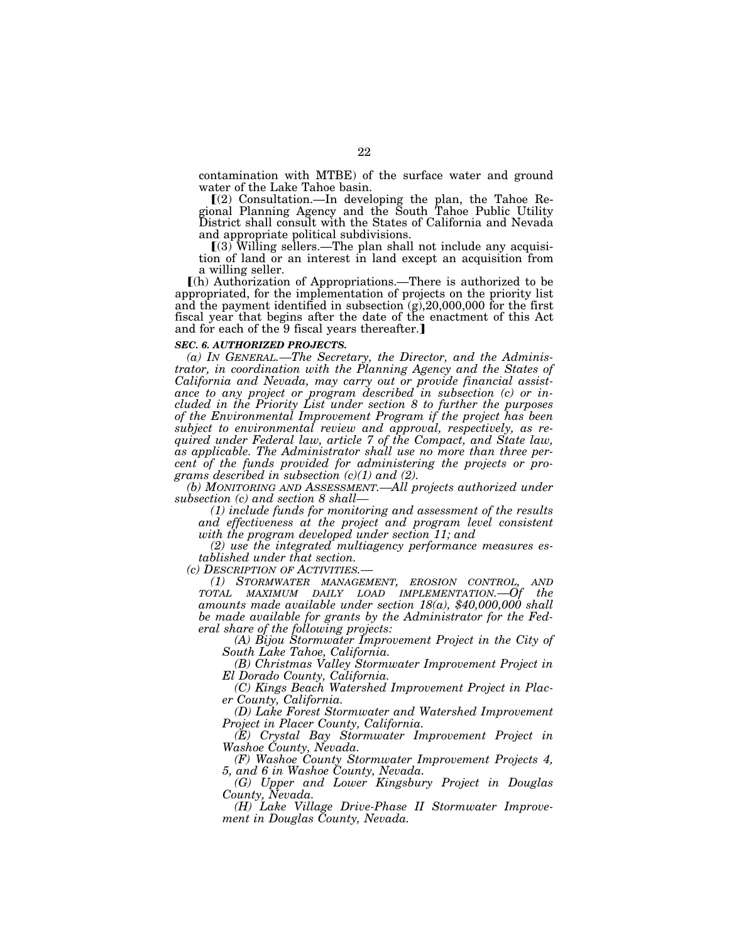contamination with MTBE) of the surface water and ground water of the Lake Tahoe basin.

ø(2) Consultation.—In developing the plan, the Tahoe Regional Planning Agency and the South Tahoe Public Utility District shall consult with the States of California and Nevada and appropriate political subdivisions.

 $(3)$  Willing sellers.—The plan shall not include any acquisition of land or an interest in land except an acquisition from a willing seller.

ø(h) Authorization of Appropriations.—There is authorized to be appropriated, for the implementation of projects on the priority list and the payment identified in subsection (g),20,000,000 for the first fiscal year that begins after the date of the enactment of this Act and for each of the 9 fiscal years thereafter.

#### *SEC. 6. AUTHORIZED PROJECTS.*

*(a) IN GENERAL.—The Secretary, the Director, and the Administrator, in coordination with the Planning Agency and the States of California and Nevada, may carry out or provide financial assistance to any project or program described in subsection (c) or included in the Priority List under section 8 to further the purposes of the Environmental Improvement Program if the project has been subject to environmental review and approval, respectively, as required under Federal law, article 7 of the Compact, and State law, as applicable. The Administrator shall use no more than three percent of the funds provided for administering the projects or programs described in subsection (c)(1) and (2).* 

*(b) MONITORING AND ASSESSMENT.—All projects authorized under subsection (c) and section 8 shall—* 

*(1) include funds for monitoring and assessment of the results and effectiveness at the project and program level consistent with the program developed under section 11; and* 

*(2) use the integrated multiagency performance measures established under that section.* 

*(1) STORMWATER MANAGEMENT, EROSION CONTROL, AND TOTAL MAXIMUM DAILY LOAD IMPLEMENTATION.—Of the amounts made available under section 18(a), \$40,000,000 shall be made available for grants by the Administrator for the Federal share of the following projects:* 

*(A) Bijou Stormwater Improvement Project in the City of South Lake Tahoe, California.* 

*(B) Christmas Valley Stormwater Improvement Project in El Dorado County, California.* 

*(C) Kings Beach Watershed Improvement Project in Placer County, California.* 

*(D) Lake Forest Stormwater and Watershed Improvement Project in Placer County, California.* 

*(E) Crystal Bay Stormwater Improvement Project in Washoe County, Nevada.* 

*(F) Washoe County Stormwater Improvement Projects 4, 5, and 6 in Washoe County, Nevada.* 

*(G) Upper and Lower Kingsbury Project in Douglas County, Nevada.* 

*(H) Lake Village Drive-Phase II Stormwater Improvement in Douglas County, Nevada.*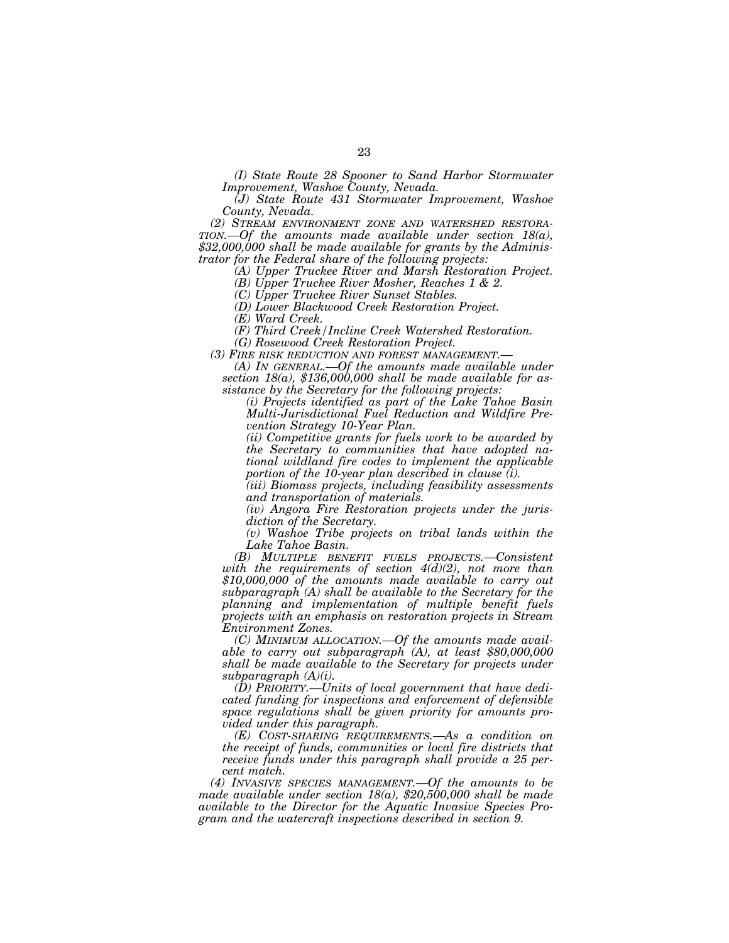*(I) State Route 28 Spooner to Sand Harbor Stormwater Improvement, Washoe County, Nevada.* 

*(J) State Route 431 Stormwater Improvement, Washoe*  **County, Nevada.**<br> **COUNTABLE COUNTABLE CONSTRAND WATERSHED RESTORA-**<br> **COUNTABLE CONSTRAND WATERSHED RESTORA-**

*(2) STREAM ENVIRONMENT ZONE AND WATERSHED RESTORA- TION.—Of the amounts made available under section 18(a), \$32,000,000 shall be made available for grants by the Administrator for the Federal share of the following projects:* 

*(A) Upper Truckee River and Marsh Restoration Project.* 

*(B) Upper Truckee River Mosher, Reaches 1 & 2.* 

*(C) Upper Truckee River Sunset Stables.* 

*(D) Lower Blackwood Creek Restoration Project.* 

*(E) Ward Creek.* 

*(F) Third Creek/Incline Creek Watershed Restoration.* 

*(G) Rosewood Creek Restoration Project.* 

*(A) IN GENERAL.—Of the amounts made available under section 18(a), \$136,000,000 shall be made available for assistance by the Secretary for the following projects:* 

*(i) Projects identified as part of the Lake Tahoe Basin Multi-Jurisdictional Fuel Reduction and Wildfire Prevention Strategy 10-Year Plan.* 

*(ii) Competitive grants for fuels work to be awarded by the Secretary to communities that have adopted national wildland fire codes to implement the applicable portion of the 10-year plan described in clause (i).* 

*(iii) Biomass projects, including feasibility assessments and transportation of materials.* 

*(iv) Angora Fire Restoration projects under the jurisdiction of the Secretary.* 

*(v) Washoe Tribe projects on tribal lands within the Lake Tahoe Basin.* 

*(B) MULTIPLE BENEFIT FUELS PROJECTS.—Consistent with the requirements of section 4(d)(2), not more than \$10,000,000 of the amounts made available to carry out subparagraph (A) shall be available to the Secretary for the planning and implementation of multiple benefit fuels projects with an emphasis on restoration projects in Stream Environment Zones.* 

*(C) MINIMUM ALLOCATION.—Of the amounts made available to carry out subparagraph (A), at least \$80,000,000 shall be made available to the Secretary for projects under subparagraph (A)(i).* 

*(D) PRIORITY.—Units of local government that have dedicated funding for inspections and enforcement of defensible space regulations shall be given priority for amounts provided under this paragraph.* 

*(E) COST-SHARING REQUIREMENTS.—As a condition on the receipt of funds, communities or local fire districts that receive funds under this paragraph shall provide a 25 percent match.* 

*(4) INVASIVE SPECIES MANAGEMENT.—Of the amounts to be made available under section*  $18(a)$ *, \$20,500,000 shall be made available to the Director for the Aquatic Invasive Species Program and the watercraft inspections described in section 9.*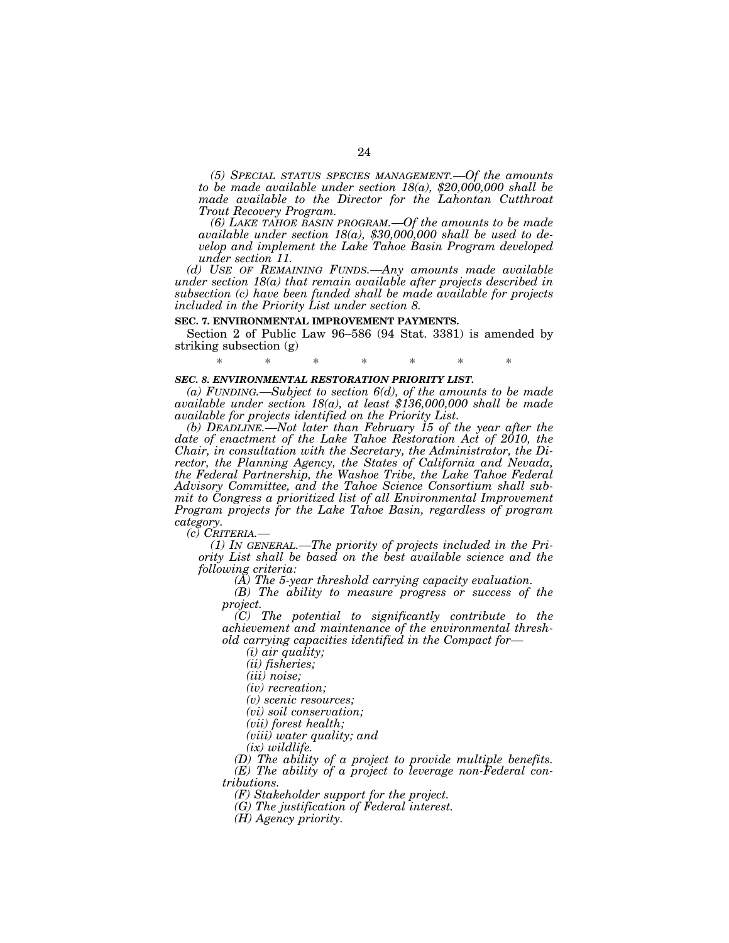*(5) SPECIAL STATUS SPECIES MANAGEMENT.—Of the amounts to be made available under section 18(a), \$20,000,000 shall be made available to the Director for the Lahontan Cutthroat Trout Recovery Program.* 

 $a\text{vailable under section 18(a), $30,000,000 shall be used to de$ *velop and implement the Lake Tahoe Basin Program developed under section 11.* 

*(d) USE OF REMAINING FUNDS.—Any amounts made available under section 18(a) that remain available after projects described in subsection (c) have been funded shall be made available for projects included in the Priority List under section 8.* 

#### **SEC. 7. ENVIRONMENTAL IMPROVEMENT PAYMENTS.**

Section 2 of Public Law 96–586 (94 Stat. 3381) is amended by striking subsection (g)

\* \* \* \* \* \* \*

## *SEC. 8. ENVIRONMENTAL RESTORATION PRIORITY LIST.*

*(a) FUNDING.—Subject to section 6(d), of the amounts to be made available under section 18(a), at least \$136,000,000 shall be made available for projects identified on the Priority List.* 

*(b) DEADLINE.—Not later than February 15 of the year after the date of enactment of the Lake Tahoe Restoration Act of 2010, the Chair, in consultation with the Secretary, the Administrator, the Director, the Planning Agency, the States of California and Nevada, the Federal Partnership, the Washoe Tribe, the Lake Tahoe Federal Advisory Committee, and the Tahoe Science Consortium shall submit to Congress a prioritized list of all Environmental Improvement Program projects for the Lake Tahoe Basin, regardless of program category.* 

(1) IN GENERAL.— The priority of projects included in the Pri*ority List shall be based on the best available science and the following criteria:* 

*(A) The 5-year threshold carrying capacity evaluation.* 

*(B) The ability to measure progress or success of the project.* 

*(C) The potential to significantly contribute to the achievement and maintenance of the environmental threshold carrying capacities identified in the Compact for—* 

*(i) air quality;* 

*(ii) fisheries;* 

*(iii) noise;* 

*(iv) recreation;* 

*(v) scenic resources;* 

*(vi) soil conservation;* 

*(vii) forest health;* 

*(viii) water quality; and* 

*(ix) wildlife.* 

*(D) The ability of a project to provide multiple benefits. (E) The ability of a project to leverage non-Federal con-*

*tributions.* 

*(F) Stakeholder support for the project.* 

*(G) The justification of Federal interest.* 

*(H) Agency priority.*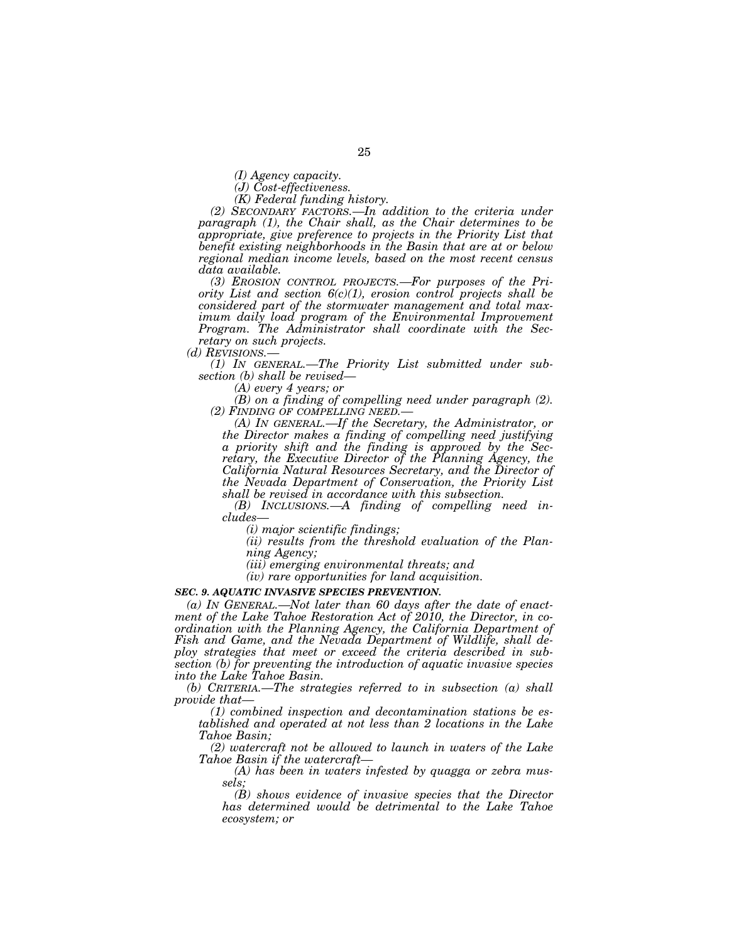*(I) Agency capacity.* 

*(J) Cost-effectiveness.* 

*(K) Federal funding history.* 

*(2) SECONDARY FACTORS.—In addition to the criteria under paragraph (1), the Chair shall, as the Chair determines to be appropriate, give preference to projects in the Priority List that benefit existing neighborhoods in the Basin that are at or below regional median income levels, based on the most recent census data available.* 

*(3) EROSION CONTROL PROJECTS.—For purposes of the Priority List and section 6(c)(1), erosion control projects shall be considered part of the stormwater management and total maximum daily load program of the Environmental Improvement Program. The Administrator shall coordinate with the Secretary on such projects.* 

*(d) REVISIONS.— (1) IN GENERAL.—The Priority List submitted under subsection (b) shall be revised—* 

*(A) every 4 years; or* 

*(B) on a finding of compelling need under paragraph (2). (2) FINDING OF COMPELLING NEED.*—

*(A) In GENERAL.—If the Secretary, the Administrator, or the Director makes a finding of compelling need justifying a priority shift and the finding is approved by the Secretary, the Executive Director of the Planning Agency, the California Natural Resources Secretary, and the Director of the Nevada Department of Conservation, the Priority List shall be revised in accordance with this subsection.* 

*(B) INCLUSIONS.—A finding of compelling need includes—* 

*(i) major scientific findings;* 

*(ii) results from the threshold evaluation of the Planning Agency;* 

*(iii) emerging environmental threats; and* 

*(iv) rare opportunities for land acquisition.* 

#### *SEC. 9. AQUATIC INVASIVE SPECIES PREVENTION.*

*(a) IN GENERAL.—Not later than 60 days after the date of enactment of the Lake Tahoe Restoration Act of 2010, the Director, in coordination with the Planning Agency, the California Department of Fish and Game, and the Nevada Department of Wildlife, shall deploy strategies that meet or exceed the criteria described in subsection (b) for preventing the introduction of aquatic invasive species into the Lake Tahoe Basin.* 

*(b) CRITERIA.—The strategies referred to in subsection (a) shall provide that—* 

*(1) combined inspection and decontamination stations be established and operated at not less than 2 locations in the Lake Tahoe Basin;* 

*(2) watercraft not be allowed to launch in waters of the Lake Tahoe Basin if the watercraft—* 

*(A) has been in waters infested by quagga or zebra mussels;* 

*(B) shows evidence of invasive species that the Director has determined would be detrimental to the Lake Tahoe ecosystem; or*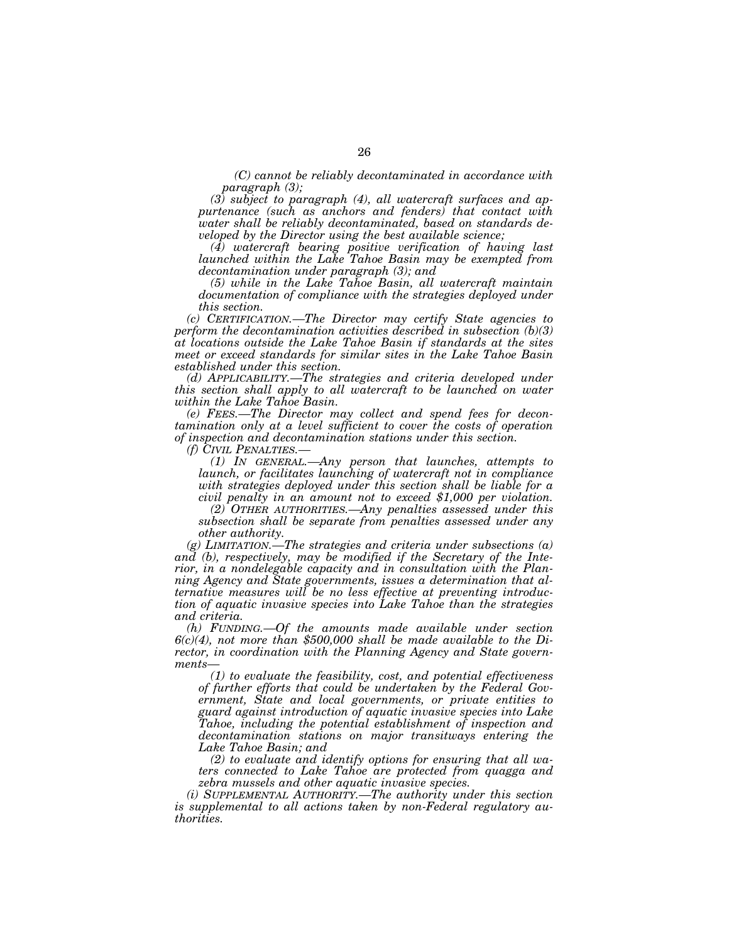*(C) cannot be reliably decontaminated in accordance with paragraph (3);* 

*(3) subject to paragraph (4), all watercraft surfaces and appurtenance (such as anchors and fenders) that contact with water shall be reliably decontaminated, based on standards developed by the Director using the best available science;* 

*(4) watercraft bearing positive verification of having last launched within the Lake Tahoe Basin may be exempted from decontamination under paragraph (3); and* 

*(5) while in the Lake Tahoe Basin, all watercraft maintain*  documentation of compliance with the strategies deployed under *this section.* 

*(c) CERTIFICATION.—The Director may certify State agencies to perform the decontamination activities described in subsection (b)(3) at locations outside the Lake Tahoe Basin if standards at the sites meet or exceed standards for similar sites in the Lake Tahoe Basin established under this section.* 

*(d) APPLICABILITY.—The strategies and criteria developed under this section shall apply to all watercraft to be launched on water within the Lake Tahoe Basin.* 

*(e) FEES.—The Director may collect and spend fees for decontamination only at a level sufficient to cover the costs of operation of inspection and decontamination stations under this section.* 

 $(I)$  IN GENERAL.—Any person that launches, attempts to *launch, or facilitates launching of watercraft not in compliance with strategies deployed under this section shall be liable for a civil penalty in an amount not to exceed \$1,000 per violation.* 

*(2) OTHER AUTHORITIES.—Any penalties assessed under this subsection shall be separate from penalties assessed under any other authority.* 

*(g) LIMITATION.—The strategies and criteria under subsections (a) and (b), respectively, may be modified if the Secretary of the Interior, in a nondelegable capacity and in consultation with the Planning Agency and State governments, issues a determination that alternative measures will be no less effective at preventing introduction of aquatic invasive species into Lake Tahoe than the strategies*  and criteria.<br>
(h) FUNDING.—Of the amounts made available under section

 $6(c)(4)$ , not more than \$500,000 shall be made available to the Di*rector, in coordination with the Planning Agency and State governments—* 

*(1) to evaluate the feasibility, cost, and potential effectiveness of further efforts that could be undertaken by the Federal Government, State and local governments, or private entities to guard against introduction of aquatic invasive species into Lake Tahoe, including the potential establishment of inspection and decontamination stations on major transitways entering the Lake Tahoe Basin; and* 

*(2) to evaluate and identify options for ensuring that all waters connected to Lake Tahoe are protected from quagga and zebra mussels and other aquatic invasive species.* 

*(i) SUPPLEMENTAL AUTHORITY.—The authority under this section is supplemental to all actions taken by non-Federal regulatory authorities.*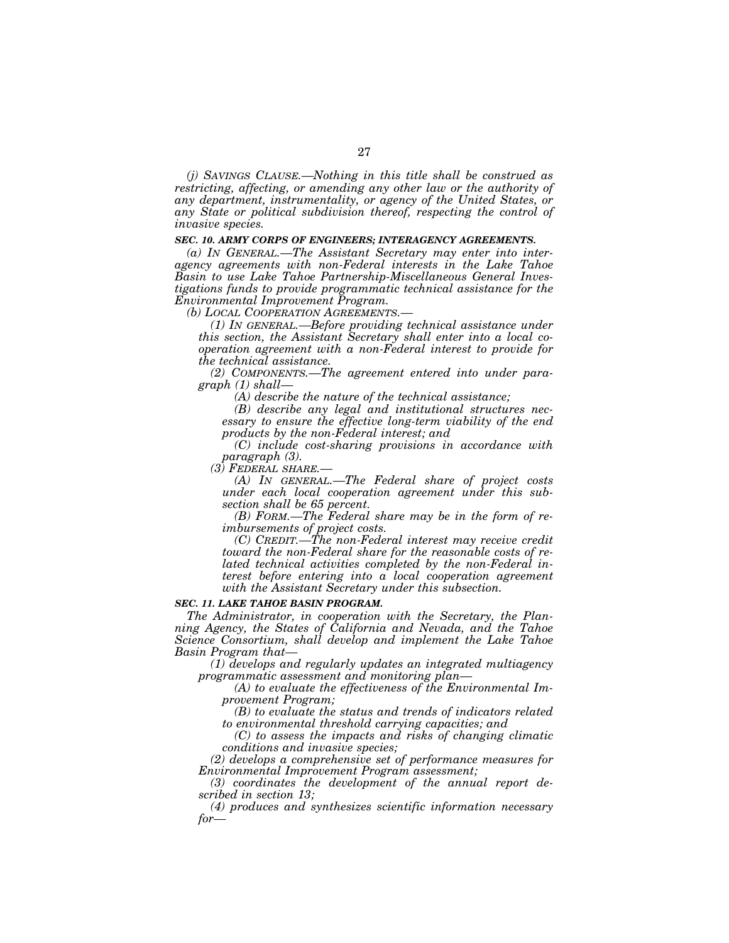*(j) SAVINGS CLAUSE.—Nothing in this title shall be construed as restricting, affecting, or amending any other law or the authority of any department, instrumentality, or agency of the United States, or any State or political subdivision thereof, respecting the control of invasive species.* 

#### *SEC. 10. ARMY CORPS OF ENGINEERS; INTERAGENCY AGREEMENTS.*

*(a) IN GENERAL.—The Assistant Secretary may enter into interagency agreements with non-Federal interests in the Lake Tahoe*  Basin to use Lake Tahoe Partnership-Miscellaneous General Inves*tigations funds to provide programmatic technical assistance for the Environmental Improvement Program.* 

*(b) LOCAL COOPERATION AGREEMENTS.—* 

*(1) IN GENERAL.—Before providing technical assistance under this section, the Assistant Secretary shall enter into a local cooperation agreement with a non-Federal interest to provide for the technical assistance.* 

*(2) COMPONENTS.—The agreement entered into under paragraph (1) shall—* 

*(A) describe the nature of the technical assistance;* 

*(B) describe any legal and institutional structures necessary to ensure the effective long-term viability of the end products by the non-Federal interest; and* 

*(C) include cost-sharing provisions in accordance with paragraph (3).* 

*(3) FEDERAL SHARE.—* 

*(A) IN GENERAL.—The Federal share of project costs under each local cooperation agreement under this subsection shall be 65 percent.* 

*(B) FORM.—The Federal share may be in the form of reimbursements of project costs.* 

*(C) CREDIT.—The non-Federal interest may receive credit toward the non-Federal share for the reasonable costs of related technical activities completed by the non-Federal interest before entering into a local cooperation agreement with the Assistant Secretary under this subsection.* 

#### *SEC. 11. LAKE TAHOE BASIN PROGRAM.*

*The Administrator, in cooperation with the Secretary, the Planning Agency, the States of California and Nevada, and the Tahoe Science Consortium, shall develop and implement the Lake Tahoe Basin Program that—* 

*(1) develops and regularly updates an integrated multiagency programmatic assessment and monitoring plan—* 

*(A) to evaluate the effectiveness of the Environmental Improvement Program;* 

*(B) to evaluate the status and trends of indicators related to environmental threshold carrying capacities; and* 

*(C) to assess the impacts and risks of changing climatic conditions and invasive species;* 

*(2) develops a comprehensive set of performance measures for Environmental Improvement Program assessment;* 

*(3) coordinates the development of the annual report described in section 13;* 

*(4) produces and synthesizes scientific information necessary for—*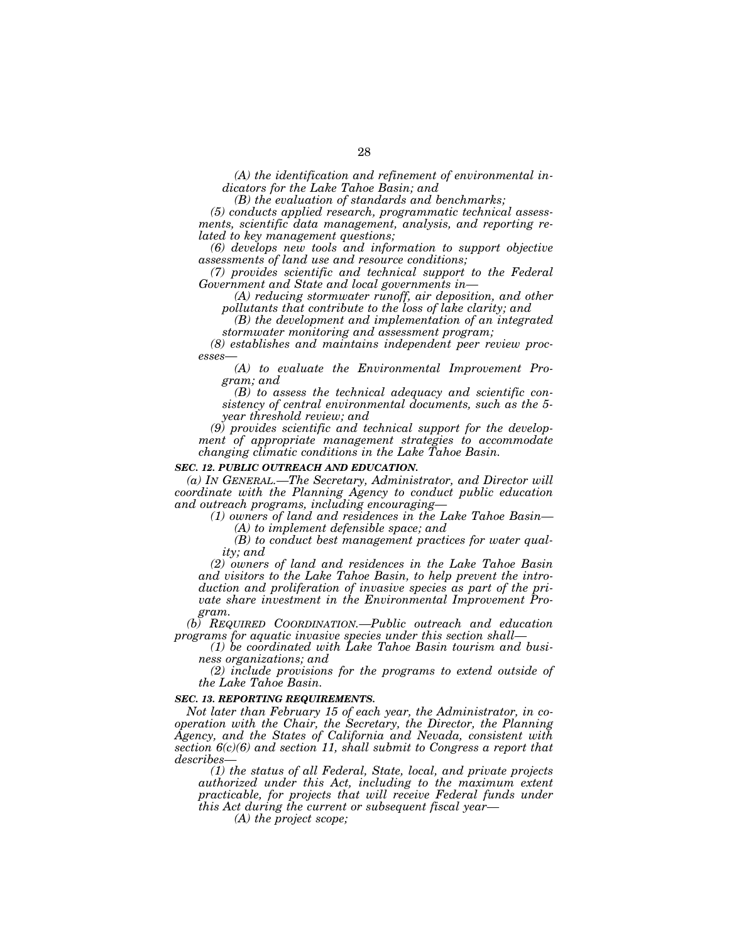*(A) the identification and refinement of environmental indicators for the Lake Tahoe Basin; and* 

*(B) the evaluation of standards and benchmarks;* 

*(5) conducts applied research, programmatic technical assessments, scientific data management, analysis, and reporting related to key management questions;* 

*(6) develops new tools and information to support objective assessments of land use and resource conditions;* 

*(7) provides scientific and technical support to the Federal Government and State and local governments in—* 

*(A) reducing stormwater runoff, air deposition, and other pollutants that contribute to the loss of lake clarity; and* 

*(B) the development and implementation of an integrated stormwater monitoring and assessment program;* 

*(8) establishes and maintains independent peer review processes—* 

*(A) to evaluate the Environmental Improvement Program; and* 

*(B) to assess the technical adequacy and scientific consistency of central environmental documents, such as the 5 year threshold review; and* 

*(9) provides scientific and technical support for the development of appropriate management strategies to accommodate changing climatic conditions in the Lake Tahoe Basin.* 

#### *SEC. 12. PUBLIC OUTREACH AND EDUCATION.*

*(a) IN GENERAL.—The Secretary, Administrator, and Director will coordinate with the Planning Agency to conduct public education and outreach programs, including encouraging—* 

*(1) owners of land and residences in the Lake Tahoe Basin— (A) to implement defensible space; and* 

*(B) to conduct best management practices for water quality; and* 

*(2) owners of land and residences in the Lake Tahoe Basin and visitors to the Lake Tahoe Basin, to help prevent the introduction and proliferation of invasive species as part of the private share investment in the Environmental Improvement Program.* 

*(b) REQUIRED COORDINATION.—Public outreach and education programs for aquatic invasive species under this section shall—* 

*(1) be coordinated with Lake Tahoe Basin tourism and business organizations; and* 

*(2) include provisions for the programs to extend outside of the Lake Tahoe Basin.* 

## *SEC. 13. REPORTING REQUIREMENTS.*

*Not later than February 15 of each year, the Administrator, in cooperation with the Chair, the Secretary, the Director, the Planning Agency, and the States of California and Nevada, consistent with section 6(c)(6) and section 11, shall submit to Congress a report that describes—* 

*(1) the status of all Federal, State, local, and private projects authorized under this Act, including to the maximum extent practicable, for projects that will receive Federal funds under this Act during the current or subsequent fiscal year—* 

*(A) the project scope;*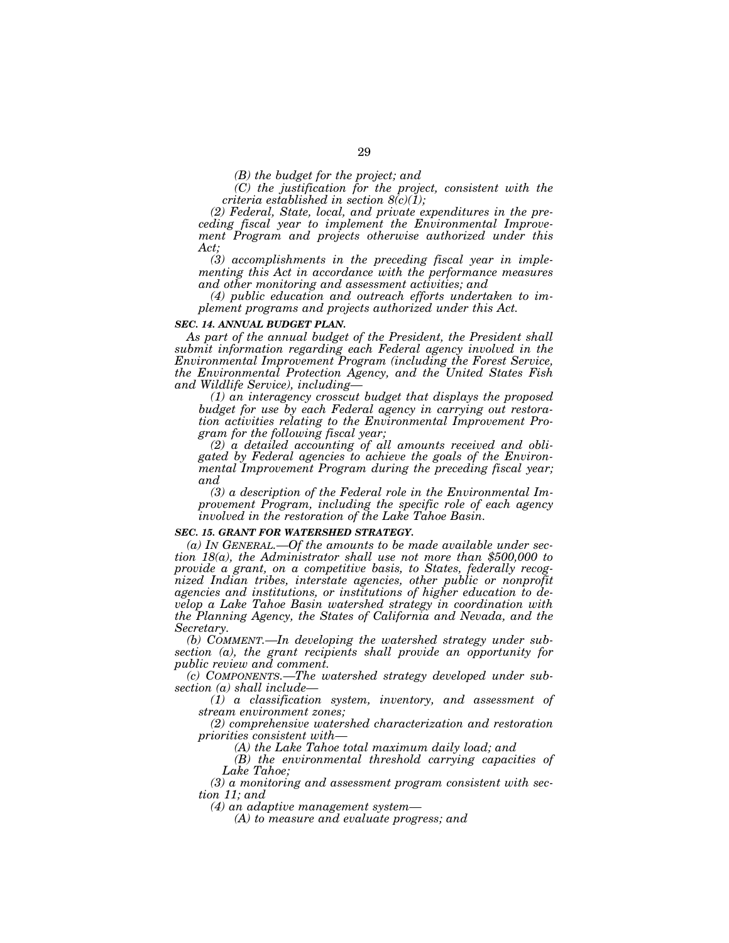*(B) the budget for the project; and* 

*(C) the justification for the project, consistent with the criteria established in section 8(c)(1);* 

*(2) Federal, State, local, and private expenditures in the preceding fiscal year to implement the Environmental Improvement Program and projects otherwise authorized under this Act;* 

*(3) accomplishments in the preceding fiscal year in implementing this Act in accordance with the performance measures and other monitoring and assessment activities; and* 

*(4) public education and outreach efforts undertaken to implement programs and projects authorized under this Act.* 

#### *SEC. 14. ANNUAL BUDGET PLAN.*

*As part of the annual budget of the President, the President shall*  submit information regarding each Federal agency involved in the *Environmental Improvement Program (including the Forest Service, the Environmental Protection Agency, and the United States Fish and Wildlife Service), including—* 

*(1) an interagency crosscut budget that displays the proposed budget for use by each Federal agency in carrying out restoration activities relating to the Environmental Improvement Program for the following fiscal year;* 

*(2) a detailed accounting of all amounts received and obligated by Federal agencies to achieve the goals of the Environmental Improvement Program during the preceding fiscal year; and* 

*(3) a description of the Federal role in the Environmental Improvement Program, including the specific role of each agency involved in the restoration of the Lake Tahoe Basin.* 

## *SEC. 15. GRANT FOR WATERSHED STRATEGY.*

*(a) IN GENERAL.—Of the amounts to be made available under section 18(a), the Administrator shall use not more than \$500,000 to provide a grant, on a competitive basis, to States, federally recognized Indian tribes, interstate agencies, other public or nonprofit agencies and institutions, or institutions of higher education to develop a Lake Tahoe Basin watershed strategy in coordination with the Planning Agency, the States of California and Nevada, and the Secretary.* 

*(b) COMMENT.—In developing the watershed strategy under subsection (a), the grant recipients shall provide an opportunity for public review and comment.* 

*(c) COMPONENTS.—The watershed strategy developed under subsection (a) shall include—* 

*(1) a classification system, inventory, and assessment of stream environment zones;* 

*(2) comprehensive watershed characterization and restoration priorities consistent with—* 

*(A) the Lake Tahoe total maximum daily load; and* 

*(B) the environmental threshold carrying capacities of Lake Tahoe;* 

*(3) a monitoring and assessment program consistent with section 11; and* 

*(4) an adaptive management system—* 

*(A) to measure and evaluate progress; and*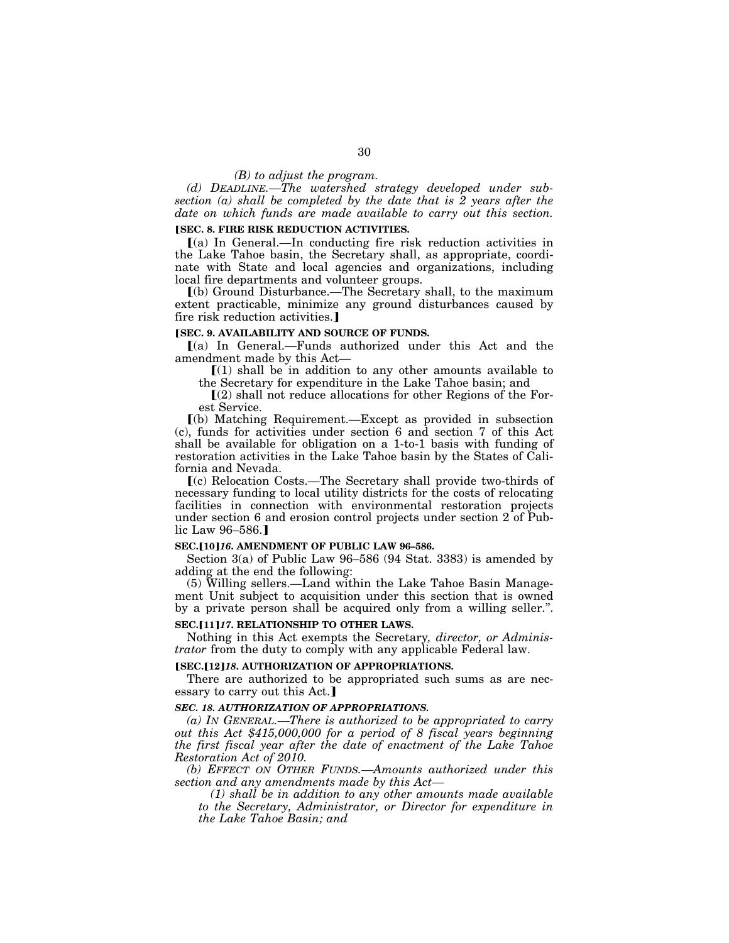#### *(B) to adjust the program.*

*(d) DEADLINE.—The watershed strategy developed under subsection (a) shall be completed by the date that is 2 years after the date on which funds are made available to carry out this section.* 

## **[SEC. 8. FIRE RISK REDUCTION ACTIVITIES.**

ø(a) In General.—In conducting fire risk reduction activities in the Lake Tahoe basin, the Secretary shall, as appropriate, coordinate with State and local agencies and organizations, including local fire departments and volunteer groups.

ø(b) Ground Disturbance.—The Secretary shall, to the maximum extent practicable, minimize any ground disturbances caused by fire risk reduction activities.]

## **[SEC. 9. AVAILABILITY AND SOURCE OF FUNDS.**

ø(a) In General.—Funds authorized under this Act and the amendment made by this Act—

 $\lceil (1)$  shall be in addition to any other amounts available to the Secretary for expenditure in the Lake Tahoe basin; and

 $\Gamma(2)$  shall not reduce allocations for other Regions of the Forest Service.

ø(b) Matching Requirement.—Except as provided in subsection (c), funds for activities under section 6 and section 7 of this Act shall be available for obligation on a 1-to-1 basis with funding of restoration activities in the Lake Tahoe basin by the States of California and Nevada.

ø(c) Relocation Costs.—The Secretary shall provide two-thirds of necessary funding to local utility districts for the costs of relocating facilities in connection with environmental restoration projects under section 6 and erosion control projects under section 2 of Public Law  $96 - 586.$ 

#### **SEC.**ø**10**¿*16***. AMENDMENT OF PUBLIC LAW 96–586.**

Section 3(a) of Public Law 96–586 (94 Stat. 3383) is amended by adding at the end the following:

(5) Willing sellers.—Land within the Lake Tahoe Basin Management Unit subject to acquisition under this section that is owned by a private person shall be acquired only from a willing seller.''.

## **SEC.**ø**11**¿*17***. RELATIONSHIP TO OTHER LAWS.**

Nothing in this Act exempts the Secretary*, director, or Administrator* from the duty to comply with any applicable Federal law.

## **[SEC.[12]***18***. AUTHORIZATION OF APPROPRIATIONS.**

There are authorized to be appropriated such sums as are necessary to carry out this Act.]

## *SEC. 18. AUTHORIZATION OF APPROPRIATIONS.*

*(a) IN GENERAL.—There is authorized to be appropriated to carry out this Act \$415,000,000 for a period of 8 fiscal years beginning the first fiscal year after the date of enactment of the Lake Tahoe Restoration Act of 2010.* 

*(b) EFFECT ON OTHER FUNDS.—Amounts authorized under this section and any amendments made by this Act—* 

*(1) shall be in addition to any other amounts made available to the Secretary, Administrator, or Director for expenditure in the Lake Tahoe Basin; and*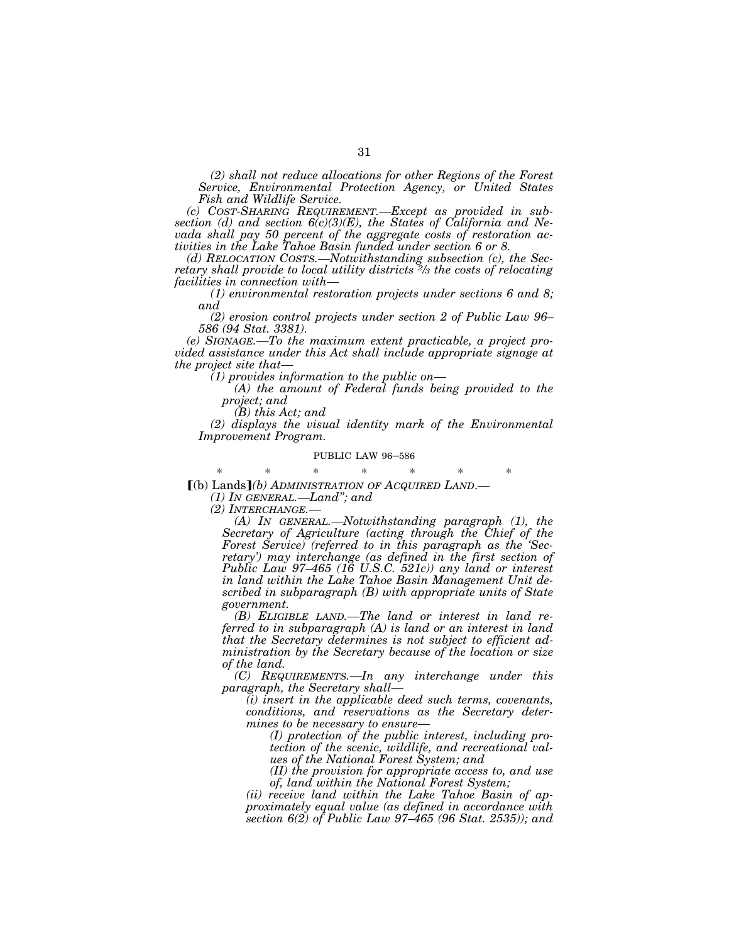*(2) shall not reduce allocations for other Regions of the Forest Service, Environmental Protection Agency, or United States Fish and Wildlife Service.* 

*(c) COST-SHARING REQUIREMENT.—Except as provided in subsection (d) and section 6(c)(3)(E), the States of California and Nevada shall pay 50 percent of the aggregate costs of restoration activities in the Lake Tahoe Basin funded under section 6 or 8.* 

*(d) RELOCATION COSTS.—Notwithstanding subsection (c), the Secretary shall provide to local utility districts 2⁄3 the costs of relocating facilities in connection with—* 

*(1) environmental restoration projects under sections 6 and 8; and* 

*(2) erosion control projects under section 2 of Public Law 96– 586 (94 Stat. 3381).* 

*(e) SIGNAGE.—To the maximum extent practicable, a project provided assistance under this Act shall include appropriate signage at the project site that—* 

*(1) provides information to the public on—* 

*(A) the amount of Federal funds being provided to the project; and* 

*(B) this Act; and* 

*(2) displays the visual identity mark of the Environmental Improvement Program.* 

#### PUBLIC LAW 96–586

\* \* \* \* \* \* \*

<sup>ø</sup>(b) Lands¿*(b) ADMINISTRATION OF ACQUIRED LAND*.— *(1) IN GENERAL.—Land''; and* 

*(A)* IN GENERAL.—Notwithstanding paragraph (1), the *Secretary of Agriculture (acting through the Chief of the Forest Service) (referred to in this paragraph as the 'Secretary') may interchange (as defined in the first section of Public Law 97–465 (16 U.S.C. 521c)) any land or interest in land within the Lake Tahoe Basin Management Unit described in subparagraph (B) with appropriate units of State government.* 

*(B) ELIGIBLE LAND.—The land or interest in land referred to in subparagraph (A) is land or an interest in land that the Secretary determines is not subject to efficient administration by the Secretary because of the location or size of the land.* 

*(C) REQUIREMENTS.—In any interchange under this paragraph, the Secretary shall—* 

*(i) insert in the applicable deed such terms, covenants, conditions, and reservations as the Secretary determines to be necessary to ensure—* 

*(I) protection of the public interest, including protection of the scenic, wildlife, and recreational values of the National Forest System; and* 

*(II) the provision for appropriate access to, and use of, land within the National Forest System;* 

*(ii) receive land within the Lake Tahoe Basin of approximately equal value (as defined in accordance with section 6(2) of Public Law 97–465 (96 Stat. 2535)); and*